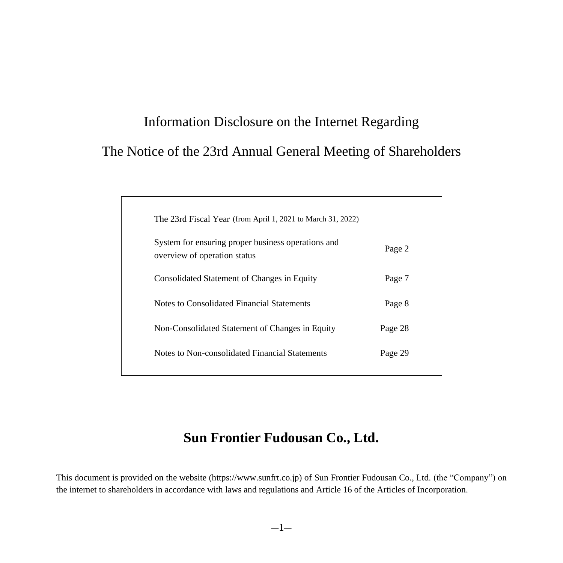# Information Disclosure on the Internet Regarding The Notice of the 23rd Annual General Meeting of Shareholders

| The 23rd Fiscal Year (from April 1, 2021 to March 31, 2022)                        |         |
|------------------------------------------------------------------------------------|---------|
| System for ensuring proper business operations and<br>overview of operation status | Page 2  |
| Consolidated Statement of Changes in Equity                                        | Page 7  |
| Notes to Consolidated Financial Statements                                         | Page 8  |
| Non-Consolidated Statement of Changes in Equity                                    | Page 28 |
| Notes to Non-consolidated Financial Statements                                     | Page 29 |
|                                                                                    |         |

# **Sun Frontier Fudousan Co., Ltd.**

This document is provided on the website (https://www.sunfrt.co.jp) of Sun Frontier Fudousan Co., Ltd. (the "Company") on the internet to shareholders in accordance with laws and regulations and Article 16 of the Articles of Incorporation.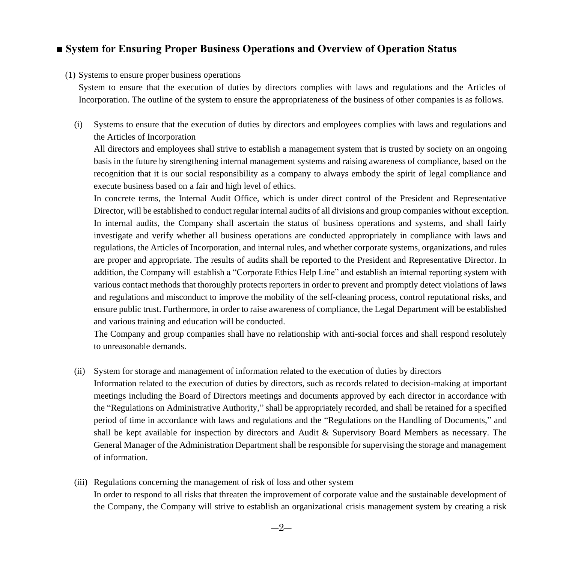### <span id="page-1-0"></span>**■ System for Ensuring Proper Business Operations and Overview of Operation Status**

#### (1) Systems to ensure proper business operations

System to ensure that the execution of duties by directors complies with laws and regulations and the Articles of Incorporation. The outline of the system to ensure the appropriateness of the business of other companies is as follows.

(i) Systems to ensure that the execution of duties by directors and employees complies with laws and regulations and the Articles of Incorporation

All directors and employees shall strive to establish a management system that is trusted by society on an ongoing basis in the future by strengthening internal management systems and raising awareness of compliance, based on the recognition that it is our social responsibility as a company to always embody the spirit of legal compliance and execute business based on a fair and high level of ethics.

In concrete terms, the Internal Audit Office, which is under direct control of the President and Representative Director, will be established to conduct regular internal audits of all divisions and group companies without exception. In internal audits, the Company shall ascertain the status of business operations and systems, and shall fairly investigate and verify whether all business operations are conducted appropriately in compliance with laws and regulations, the Articles of Incorporation, and internal rules, and whether corporate systems, organizations, and rules are proper and appropriate. The results of audits shall be reported to the President and Representative Director. In addition, the Company will establish a "Corporate Ethics Help Line" and establish an internal reporting system with various contact methods that thoroughly protects reporters in order to prevent and promptly detect violations of laws and regulations and misconduct to improve the mobility of the self-cleaning process, control reputational risks, and ensure public trust. Furthermore, in order to raise awareness of compliance, the Legal Department will be established and various training and education will be conducted.

The Company and group companies shall have no relationship with anti-social forces and shall respond resolutely to unreasonable demands.

(ii) System for storage and management of information related to the execution of duties by directors

Information related to the execution of duties by directors, such as records related to decision-making at important meetings including the Board of Directors meetings and documents approved by each director in accordance with the "Regulations on Administrative Authority," shall be appropriately recorded, and shall be retained for a specified period of time in accordance with laws and regulations and the "Regulations on the Handling of Documents," and shall be kept available for inspection by directors and Audit & Supervisory Board Members as necessary. The General Manager of the Administration Department shall be responsible for supervising the storage and management of information.

(iii) Regulations concerning the management of risk of loss and other system In order to respond to all risks that threaten the improvement of corporate value and the sustainable development of the Company, the Company will strive to establish an organizational crisis management system by creating a risk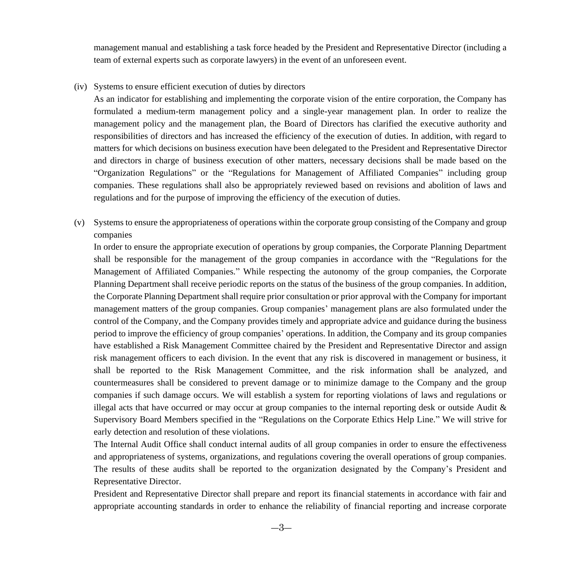management manual and establishing a task force headed by the President and Representative Director (including a team of external experts such as corporate lawyers) in the event of an unforeseen event.

(iv) Systems to ensure efficient execution of duties by directors

As an indicator for establishing and implementing the corporate vision of the entire corporation, the Company has formulated a medium-term management policy and a single-year management plan. In order to realize the management policy and the management plan, the Board of Directors has clarified the executive authority and responsibilities of directors and has increased the efficiency of the execution of duties. In addition, with regard to matters for which decisions on business execution have been delegated to the President and Representative Director and directors in charge of business execution of other matters, necessary decisions shall be made based on the "Organization Regulations" or the "Regulations for Management of Affiliated Companies" including group companies. These regulations shall also be appropriately reviewed based on revisions and abolition of laws and regulations and for the purpose of improving the efficiency of the execution of duties.

(v) Systems to ensure the appropriateness of operations within the corporate group consisting of the Company and group companies

In order to ensure the appropriate execution of operations by group companies, the Corporate Planning Department shall be responsible for the management of the group companies in accordance with the "Regulations for the Management of Affiliated Companies." While respecting the autonomy of the group companies, the Corporate Planning Department shall receive periodic reports on the status of the business of the group companies. In addition, the Corporate Planning Department shall require prior consultation or prior approval with the Company for important management matters of the group companies. Group companies' management plans are also formulated under the control of the Company, and the Company provides timely and appropriate advice and guidance during the business period to improve the efficiency of group companies' operations. In addition, the Company and its group companies have established a Risk Management Committee chaired by the President and Representative Director and assign risk management officers to each division. In the event that any risk is discovered in management or business, it shall be reported to the Risk Management Committee, and the risk information shall be analyzed, and countermeasures shall be considered to prevent damage or to minimize damage to the Company and the group companies if such damage occurs. We will establish a system for reporting violations of laws and regulations or illegal acts that have occurred or may occur at group companies to the internal reporting desk or outside Audit  $\&$ Supervisory Board Members specified in the "Regulations on the Corporate Ethics Help Line." We will strive for early detection and resolution of these violations.

The Internal Audit Office shall conduct internal audits of all group companies in order to ensure the effectiveness and appropriateness of systems, organizations, and regulations covering the overall operations of group companies. The results of these audits shall be reported to the organization designated by the Company's President and Representative Director.

President and Representative Director shall prepare and report its financial statements in accordance with fair and appropriate accounting standards in order to enhance the reliability of financial reporting and increase corporate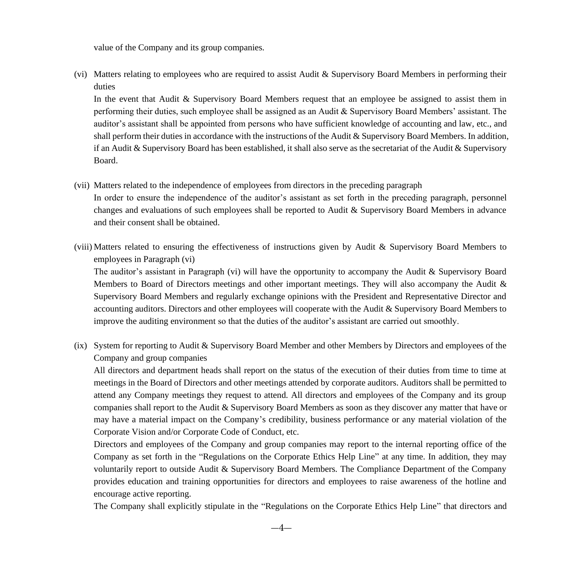value of the Company and its group companies.

(vi) Matters relating to employees who are required to assist Audit & Supervisory Board Members in performing their duties

In the event that Audit & Supervisory Board Members request that an employee be assigned to assist them in performing their duties, such employee shall be assigned as an Audit & Supervisory Board Members' assistant. The auditor's assistant shall be appointed from persons who have sufficient knowledge of accounting and law, etc., and shall perform their duties in accordance with the instructions of the Audit & Supervisory Board Members. In addition, if an Audit & Supervisory Board has been established, it shall also serve as the secretariat of the Audit & Supervisory Board.

(vii) Matters related to the independence of employees from directors in the preceding paragraph

In order to ensure the independence of the auditor's assistant as set forth in the preceding paragraph, personnel changes and evaluations of such employees shall be reported to Audit & Supervisory Board Members in advance and their consent shall be obtained.

(viii) Matters related to ensuring the effectiveness of instructions given by Audit & Supervisory Board Members to employees in Paragraph (vi)

The auditor's assistant in Paragraph (vi) will have the opportunity to accompany the Audit & Supervisory Board Members to Board of Directors meetings and other important meetings. They will also accompany the Audit  $\&$ Supervisory Board Members and regularly exchange opinions with the President and Representative Director and accounting auditors. Directors and other employees will cooperate with the Audit & Supervisory Board Members to improve the auditing environment so that the duties of the auditor's assistant are carried out smoothly.

(ix) System for reporting to Audit & Supervisory Board Member and other Members by Directors and employees of the Company and group companies

All directors and department heads shall report on the status of the execution of their duties from time to time at meetings in the Board of Directors and other meetings attended by corporate auditors. Auditors shall be permitted to attend any Company meetings they request to attend. All directors and employees of the Company and its group companies shall report to the Audit & Supervisory Board Members as soon as they discover any matter that have or may have a material impact on the Company's credibility, business performance or any material violation of the Corporate Vision and/or Corporate Code of Conduct, etc.

Directors and employees of the Company and group companies may report to the internal reporting office of the Company as set forth in the "Regulations on the Corporate Ethics Help Line" at any time. In addition, they may voluntarily report to outside Audit & Supervisory Board Members. The Compliance Department of the Company provides education and training opportunities for directors and employees to raise awareness of the hotline and encourage active reporting.

The Company shall explicitly stipulate in the "Regulations on the Corporate Ethics Help Line" that directors and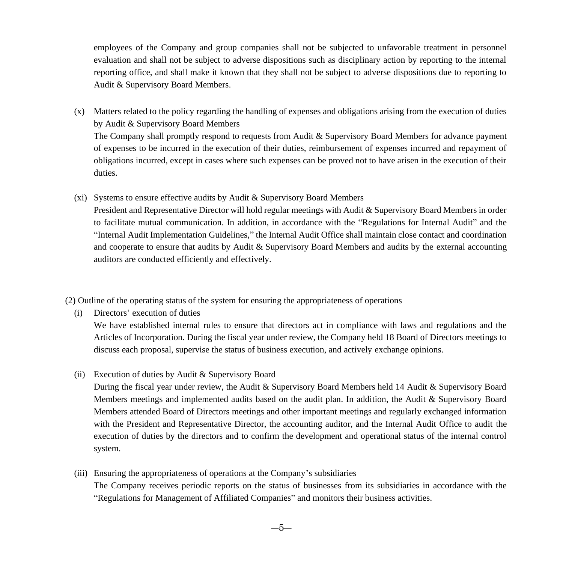employees of the Company and group companies shall not be subjected to unfavorable treatment in personnel evaluation and shall not be subject to adverse dispositions such as disciplinary action by reporting to the internal reporting office, and shall make it known that they shall not be subject to adverse dispositions due to reporting to Audit & Supervisory Board Members.

(x) Matters related to the policy regarding the handling of expenses and obligations arising from the execution of duties by Audit & Supervisory Board Members

The Company shall promptly respond to requests from Audit & Supervisory Board Members for advance payment of expenses to be incurred in the execution of their duties, reimbursement of expenses incurred and repayment of obligations incurred, except in cases where such expenses can be proved not to have arisen in the execution of their duties.

(xi) Systems to ensure effective audits by Audit & Supervisory Board Members

President and Representative Director will hold regular meetings with Audit & Supervisory Board Members in order to facilitate mutual communication. In addition, in accordance with the "Regulations for Internal Audit" and the "Internal Audit Implementation Guidelines," the Internal Audit Office shall maintain close contact and coordination and cooperate to ensure that audits by Audit & Supervisory Board Members and audits by the external accounting auditors are conducted efficiently and effectively.

(2) Outline of the operating status of the system for ensuring the appropriateness of operations

(i) Directors' execution of duties

We have established internal rules to ensure that directors act in compliance with laws and regulations and the Articles of Incorporation. During the fiscal year under review, the Company held 18 Board of Directors meetings to discuss each proposal, supervise the status of business execution, and actively exchange opinions.

(ii) Execution of duties by Audit & Supervisory Board

During the fiscal year under review, the Audit & Supervisory Board Members held 14 Audit & Supervisory Board Members meetings and implemented audits based on the audit plan. In addition, the Audit & Supervisory Board Members attended Board of Directors meetings and other important meetings and regularly exchanged information with the President and Representative Director, the accounting auditor, and the Internal Audit Office to audit the execution of duties by the directors and to confirm the development and operational status of the internal control system.

(iii) Ensuring the appropriateness of operations at the Company's subsidiaries The Company receives periodic reports on the status of businesses from its subsidiaries in accordance with the "Regulations for Management of Affiliated Companies" and monitors their business activities.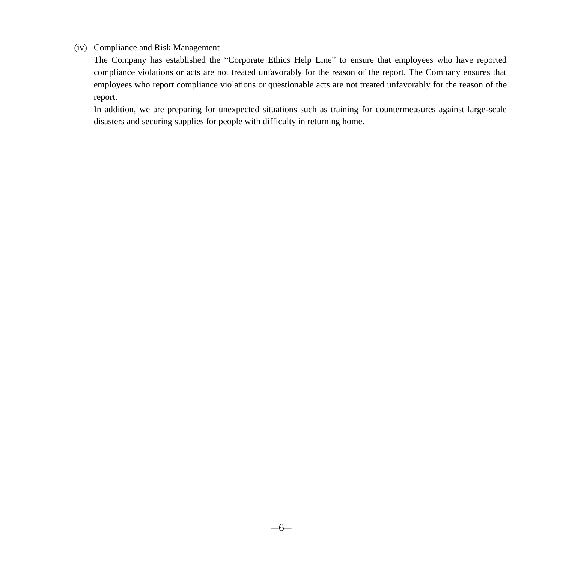#### (iv) Compliance and Risk Management

The Company has established the "Corporate Ethics Help Line" to ensure that employees who have reported compliance violations or acts are not treated unfavorably for the reason of the report. The Company ensures that employees who report compliance violations or questionable acts are not treated unfavorably for the reason of the report.

In addition, we are preparing for unexpected situations such as training for countermeasures against large-scale disasters and securing supplies for people with difficulty in returning home.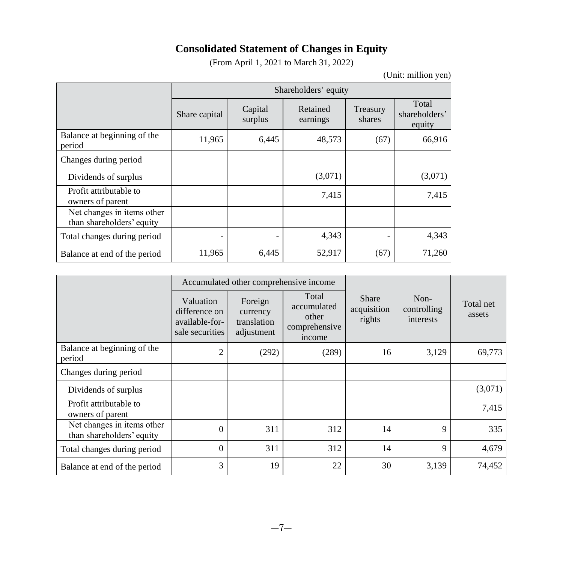# **Consolidated Statement of Changes in Equity**

(From April 1, 2021 to March 31, 2022)

(Unit: million yen)

<span id="page-6-0"></span>

|                                                         |               | Shareholders' equity |                      |                    |                                  |
|---------------------------------------------------------|---------------|----------------------|----------------------|--------------------|----------------------------------|
|                                                         | Share capital | Capital<br>surplus   | Retained<br>earnings | Treasury<br>shares | Total<br>shareholders'<br>equity |
| Balance at beginning of the<br>period                   | 11,965        | 6,445                | 48,573               | (67)               | 66,916                           |
| Changes during period                                   |               |                      |                      |                    |                                  |
| Dividends of surplus                                    |               |                      | (3,071)              |                    | (3,071)                          |
| Profit attributable to<br>owners of parent              |               |                      | 7,415                |                    | 7,415                            |
| Net changes in items other<br>than shareholders' equity |               |                      |                      |                    |                                  |
| Total changes during period                             |               |                      | 4,343                |                    | 4,343                            |
| Balance at end of the period                            | 11,965        | 6,445                | 52,917               | (67)               | 71,260                           |

|                                                         |                                                                 | Accumulated other comprehensive income           |                                                          |                                |                                    |                     |
|---------------------------------------------------------|-----------------------------------------------------------------|--------------------------------------------------|----------------------------------------------------------|--------------------------------|------------------------------------|---------------------|
|                                                         | Valuation<br>difference on<br>available-for-<br>sale securities | Foreign<br>currency<br>translation<br>adjustment | Total<br>accumulated<br>other<br>comprehensive<br>income | Share<br>acquisition<br>rights | $Non-$<br>controlling<br>interests | Total net<br>assets |
| Balance at beginning of the<br>period                   | $\overline{c}$                                                  | (292)                                            | (289)                                                    | 16                             | 3,129                              | 69,773              |
| Changes during period                                   |                                                                 |                                                  |                                                          |                                |                                    |                     |
| Dividends of surplus                                    |                                                                 |                                                  |                                                          |                                |                                    | (3,071)             |
| Profit attributable to<br>owners of parent              |                                                                 |                                                  |                                                          |                                |                                    | 7,415               |
| Net changes in items other<br>than shareholders' equity | $\Omega$                                                        | 311                                              | 312                                                      | 14                             | 9                                  | 335                 |
| Total changes during period                             | $\theta$                                                        | 311                                              | 312                                                      | 14                             | 9                                  | 4,679               |
| Balance at end of the period                            | 3                                                               | 19                                               | 22                                                       | 30                             | 3,139                              | 74,452              |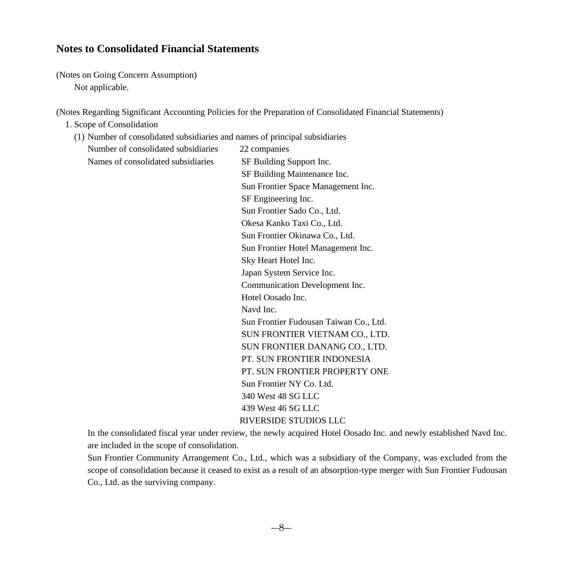### <span id="page-7-0"></span>**Notes to Consolidated Financial Statements**

(Notes on Going Concern Assumption) Not applicable.

(Notes Regarding Significant Accounting Policies for the Preparation of Consolidated Financial Statements)

- 1. Scope of Consolidation
	- (1) Number of consolidated subsidiaries and names of principal subsidiaries

Number of consolidated subsidiaries 22 companies Names of consolidated subsidiaries SF Building Support Inc.

SF Building Maintenance Inc. Sun Frontier Space Management Inc. SF Engineering Inc. Sun Frontier Sado Co., Ltd. Okesa Kanko Taxi Co., Ltd. Sun Frontier Okinawa Co., Ltd. Sun Frontier Hotel Management Inc. Sky Heart Hotel Inc. Japan System Service Inc. Communication Development Inc. Hotel Oosado Inc. Navd Inc. Sun Frontier Fudousan Taiwan Co., Ltd. SUN FRONTIER VIETNAM CO., LTD. SUN FRONTIER DANANG CO., LTD. PT. SUN FRONTIER INDONESIA PT. SUN FRONTIER PROPERTY ONE Sun Frontier NY Co. Ltd. 340 West 48 SG LLC 439 West 46 SG LLC RIVERSIDE STUDIOS LLC

In the consolidated fiscal year under review, the newly acquired Hotel Oosado Inc. and newly established Navd Inc. are included in the scope of consolidation.

Sun Frontier Community Arrangement Co., Ltd., which was a subsidiary of the Company, was excluded from the scope of consolidation because it ceased to exist as a result of an absorption-type merger with Sun Frontier Fudousan Co., Ltd. as the surviving company.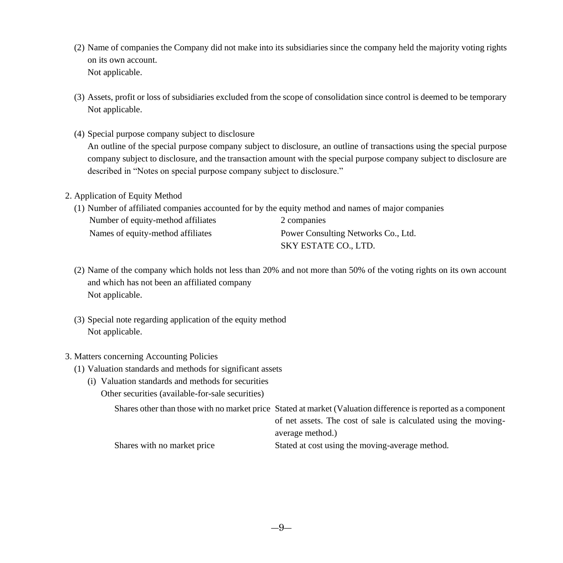- (2) Name of companies the Company did not make into its subsidiaries since the company held the majority voting rights on its own account. Not applicable.
- (3) Assets, profit or loss of subsidiaries excluded from the scope of consolidation since control is deemed to be temporary Not applicable.
- (4) Special purpose company subject to disclosure An outline of the special purpose company subject to disclosure, an outline of transactions using the special purpose company subject to disclosure, and the transaction amount with the special purpose company subject to disclosure are described in "Notes on special purpose company subject to disclosure."

#### 2. Application of Equity Method

(1) Number of affiliated companies accounted for by the equity method and names of major companies

| Number of equity-method affiliates | 2 companies                         |
|------------------------------------|-------------------------------------|
| Names of equity-method affiliates  | Power Consulting Networks Co., Ltd. |
|                                    | SKY ESTATE CO., LTD.                |

- (2) Name of the company which holds not less than 20% and not more than 50% of the voting rights on its own account and which has not been an affiliated company Not applicable.
- (3) Special note regarding application of the equity method Not applicable.

#### 3. Matters concerning Accounting Policies

- (1) Valuation standards and methods for significant assets
	- (i) Valuation standards and methods for securities Other securities (available-for-sale securities)

Shares other than those with no market price Stated at market (Valuation difference is reported as a component

of net assets. The cost of sale is calculated using the movingaverage method.)

Shares with no market price Stated at cost using the moving-average method.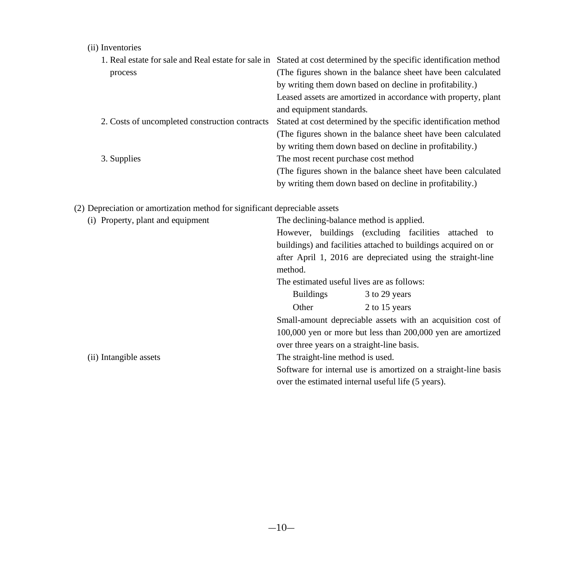### (ii) Inventories

|                                                | 1. Real estate for sale and Real estate for sale in Stated at cost determined by the specific identification method |
|------------------------------------------------|---------------------------------------------------------------------------------------------------------------------|
| process                                        | (The figures shown in the balance sheet have been calculated)                                                       |
|                                                | by writing them down based on decline in profitability.)                                                            |
|                                                | Leased assets are amortized in accordance with property, plant                                                      |
|                                                | and equipment standards.                                                                                            |
| 2. Costs of uncompleted construction contracts | Stated at cost determined by the specific identification method                                                     |
|                                                | (The figures shown in the balance sheet have been calculated)                                                       |
|                                                | by writing them down based on decline in profitability.)                                                            |
| 3. Supplies                                    | The most recent purchase cost method                                                                                |
|                                                | (The figures shown in the balance sheet have been calculated)                                                       |
|                                                | by writing them down based on decline in profitability.)                                                            |

(2) Depreciation or amortization method for significant depreciable assets

| (i) Property, plant and equipment | The declining-balance method is applied.                        |                                                             |  |
|-----------------------------------|-----------------------------------------------------------------|-------------------------------------------------------------|--|
|                                   |                                                                 | However, buildings (excluding facilities attached to        |  |
|                                   | buildings) and facilities attached to buildings acquired on or  |                                                             |  |
|                                   |                                                                 | after April 1, 2016 are depreciated using the straight-line |  |
|                                   | method.                                                         |                                                             |  |
|                                   | The estimated useful lives are as follows:                      |                                                             |  |
|                                   | <b>Buildings</b>                                                | 3 to 29 years                                               |  |
|                                   | Other                                                           | 2 to 15 years                                               |  |
|                                   |                                                                 | Small-amount depreciable assets with an acquisition cost of |  |
|                                   |                                                                 | 100,000 yen or more but less than 200,000 yen are amortized |  |
|                                   | over three years on a straight-line basis.                      |                                                             |  |
| (ii) Intangible assets            | The straight-line method is used.                               |                                                             |  |
|                                   | Software for internal use is amortized on a straight-line basis |                                                             |  |
|                                   |                                                                 | over the estimated internal useful life (5 years).          |  |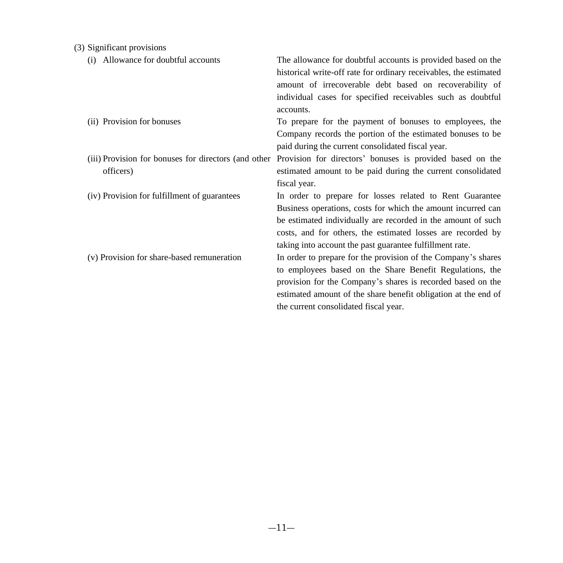| (3) Significant provisions |  |
|----------------------------|--|
|                            |  |

| Allowance for doubtful accounts<br>(i)                            | The allowance for doubtful accounts is provided based on the<br>historical write-off rate for ordinary receivables, the estimated<br>amount of irrecoverable debt based on recoverability of<br>individual cases for specified receivables such as doubtful<br>accounts.                                            |
|-------------------------------------------------------------------|---------------------------------------------------------------------------------------------------------------------------------------------------------------------------------------------------------------------------------------------------------------------------------------------------------------------|
| (ii) Provision for bonuses                                        | To prepare for the payment of bonuses to employees, the<br>Company records the portion of the estimated bonuses to be<br>paid during the current consolidated fiscal year.                                                                                                                                          |
| (iii) Provision for bonuses for directors (and other<br>officers) | Provision for directors' bonuses is provided based on the<br>estimated amount to be paid during the current consolidated<br>fiscal year.                                                                                                                                                                            |
| (iv) Provision for fulfillment of guarantees                      | In order to prepare for losses related to Rent Guarantee<br>Business operations, costs for which the amount incurred can<br>be estimated individually are recorded in the amount of such<br>costs, and for others, the estimated losses are recorded by<br>taking into account the past guarantee fulfillment rate. |
| (v) Provision for share-based remuneration                        | In order to prepare for the provision of the Company's shares<br>to employees based on the Share Benefit Regulations, the<br>provision for the Company's shares is recorded based on the<br>estimated amount of the share benefit obligation at the end of<br>the current consolidated fiscal year.                 |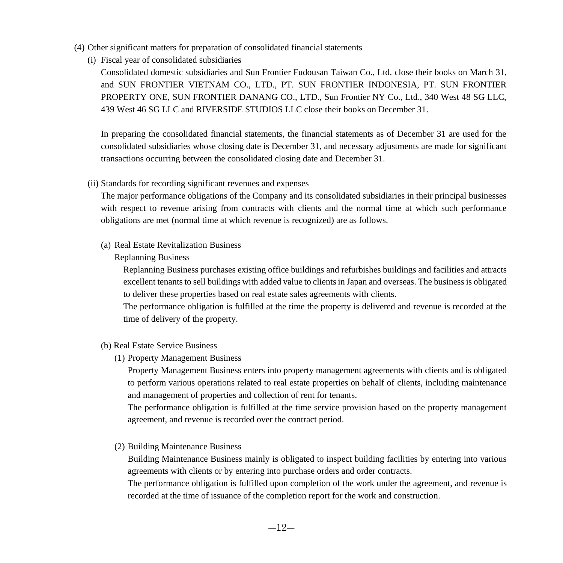- (4) Other significant matters for preparation of consolidated financial statements
	- (i) Fiscal year of consolidated subsidiaries

Consolidated domestic subsidiaries and Sun Frontier Fudousan Taiwan Co., Ltd. close their books on March 31, and SUN FRONTIER VIETNAM CO., LTD., PT. SUN FRONTIER INDONESIA, PT. SUN FRONTIER PROPERTY ONE, SUN FRONTIER DANANG CO., LTD., Sun Frontier NY Co., Ltd., 340 West 48 SG LLC, 439 West 46 SG LLC and RIVERSIDE STUDIOS LLC close their books on December 31.

In preparing the consolidated financial statements, the financial statements as of December 31 are used for the consolidated subsidiaries whose closing date is December 31, and necessary adjustments are made for significant transactions occurring between the consolidated closing date and December 31.

(ii) Standards for recording significant revenues and expenses

The major performance obligations of the Company and its consolidated subsidiaries in their principal businesses with respect to revenue arising from contracts with clients and the normal time at which such performance obligations are met (normal time at which revenue is recognized) are as follows.

(a) Real Estate Revitalization Business

#### Replanning Business

Replanning Business purchases existing office buildings and refurbishes buildings and facilities and attracts excellent tenants to sell buildings with added value to clients in Japan and overseas. The business is obligated to deliver these properties based on real estate sales agreements with clients.

The performance obligation is fulfilled at the time the property is delivered and revenue is recorded at the time of delivery of the property.

- (b) Real Estate Service Business
	- (1) Property Management Business

Property Management Business enters into property management agreements with clients and is obligated to perform various operations related to real estate properties on behalf of clients, including maintenance and management of properties and collection of rent for tenants.

The performance obligation is fulfilled at the time service provision based on the property management agreement, and revenue is recorded over the contract period.

(2) Building Maintenance Business

Building Maintenance Business mainly is obligated to inspect building facilities by entering into various agreements with clients or by entering into purchase orders and order contracts.

The performance obligation is fulfilled upon completion of the work under the agreement, and revenue is recorded at the time of issuance of the completion report for the work and construction.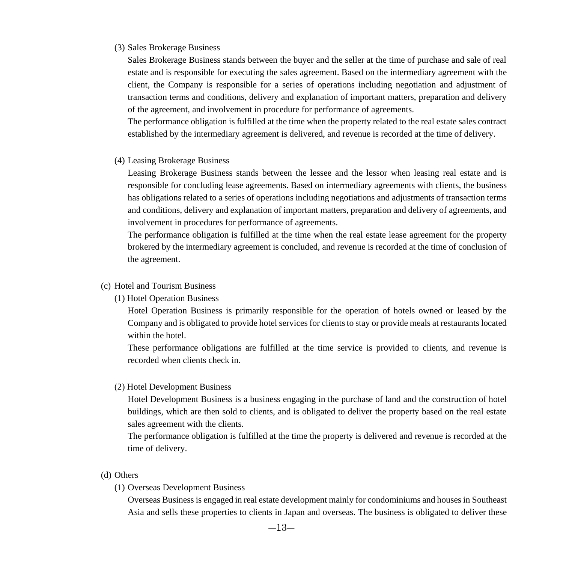#### (3) Sales Brokerage Business

Sales Brokerage Business stands between the buyer and the seller at the time of purchase and sale of real estate and is responsible for executing the sales agreement. Based on the intermediary agreement with the client, the Company is responsible for a series of operations including negotiation and adjustment of transaction terms and conditions, delivery and explanation of important matters, preparation and delivery of the agreement, and involvement in procedure for performance of agreements.

The performance obligation is fulfilled at the time when the property related to the real estate sales contract established by the intermediary agreement is delivered, and revenue is recorded at the time of delivery.

(4) Leasing Brokerage Business

Leasing Brokerage Business stands between the lessee and the lessor when leasing real estate and is responsible for concluding lease agreements. Based on intermediary agreements with clients, the business has obligations related to a series of operations including negotiations and adjustments of transaction terms and conditions, delivery and explanation of important matters, preparation and delivery of agreements, and involvement in procedures for performance of agreements.

The performance obligation is fulfilled at the time when the real estate lease agreement for the property brokered by the intermediary agreement is concluded, and revenue is recorded at the time of conclusion of the agreement.

#### (c) Hotel and Tourism Business

(1) Hotel Operation Business

Hotel Operation Business is primarily responsible for the operation of hotels owned or leased by the Company and is obligated to provide hotel services for clients to stay or provide meals at restaurants located within the hotel.

These performance obligations are fulfilled at the time service is provided to clients, and revenue is recorded when clients check in.

(2) Hotel Development Business

Hotel Development Business is a business engaging in the purchase of land and the construction of hotel buildings, which are then sold to clients, and is obligated to deliver the property based on the real estate sales agreement with the clients.

The performance obligation is fulfilled at the time the property is delivered and revenue is recorded at the time of delivery.

- (d) Others
	- (1) Overseas Development Business

Overseas Business is engaged in real estate development mainly for condominiums and houses in Southeast Asia and sells these properties to clients in Japan and overseas. The business is obligated to deliver these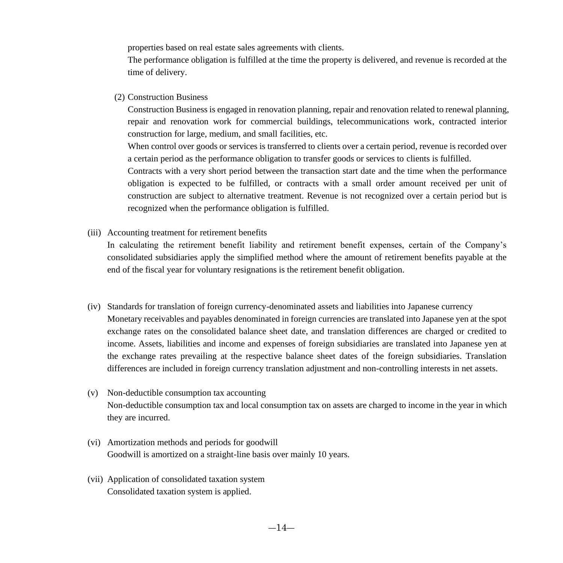properties based on real estate sales agreements with clients.

The performance obligation is fulfilled at the time the property is delivered, and revenue is recorded at the time of delivery.

(2) Construction Business

Construction Business is engaged in renovation planning, repair and renovation related to renewal planning, repair and renovation work for commercial buildings, telecommunications work, contracted interior construction for large, medium, and small facilities, etc.

When control over goods or services is transferred to clients over a certain period, revenue is recorded over a certain period as the performance obligation to transfer goods or services to clients is fulfilled.

Contracts with a very short period between the transaction start date and the time when the performance obligation is expected to be fulfilled, or contracts with a small order amount received per unit of construction are subject to alternative treatment. Revenue is not recognized over a certain period but is recognized when the performance obligation is fulfilled.

(iii) Accounting treatment for retirement benefits

In calculating the retirement benefit liability and retirement benefit expenses, certain of the Company's consolidated subsidiaries apply the simplified method where the amount of retirement benefits payable at the end of the fiscal year for voluntary resignations is the retirement benefit obligation.

- (iv) Standards for translation of foreign currency-denominated assets and liabilities into Japanese currency Monetary receivables and payables denominated in foreign currencies are translated into Japanese yen at the spot exchange rates on the consolidated balance sheet date, and translation differences are charged or credited to income. Assets, liabilities and income and expenses of foreign subsidiaries are translated into Japanese yen at the exchange rates prevailing at the respective balance sheet dates of the foreign subsidiaries. Translation differences are included in foreign currency translation adjustment and non-controlling interests in net assets.
- (v) Non-deductible consumption tax accounting Non-deductible consumption tax and local consumption tax on assets are charged to income in the year in which they are incurred.
- (vi) Amortization methods and periods for goodwill Goodwill is amortized on a straight-line basis over mainly 10 years.
- (vii) Application of consolidated taxation system Consolidated taxation system is applied.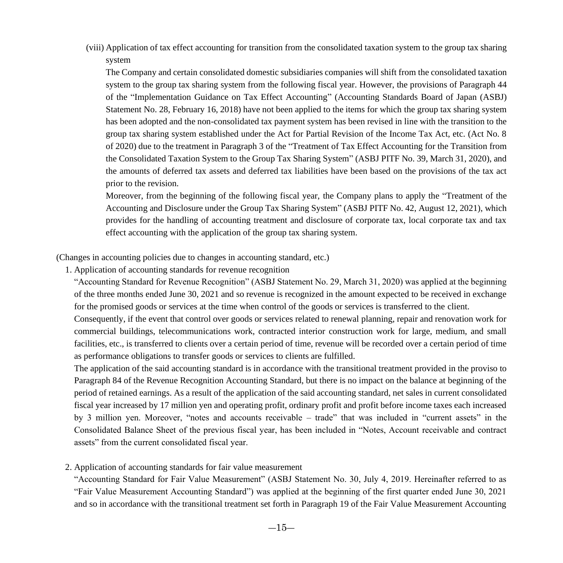(viii) Application of tax effect accounting for transition from the consolidated taxation system to the group tax sharing system

The Company and certain consolidated domestic subsidiaries companies will shift from the consolidated taxation system to the group tax sharing system from the following fiscal year. However, the provisions of Paragraph 44 of the "Implementation Guidance on Tax Effect Accounting" (Accounting Standards Board of Japan (ASBJ) Statement No. 28, February 16, 2018) have not been applied to the items for which the group tax sharing system has been adopted and the non-consolidated tax payment system has been revised in line with the transition to the group tax sharing system established under the Act for Partial Revision of the Income Tax Act, etc. (Act No. 8 of 2020) due to the treatment in Paragraph 3 of the "Treatment of Tax Effect Accounting for the Transition from the Consolidated Taxation System to the Group Tax Sharing System" (ASBJ PITF No. 39, March 31, 2020), and the amounts of deferred tax assets and deferred tax liabilities have been based on the provisions of the tax act prior to the revision.

Moreover, from the beginning of the following fiscal year, the Company plans to apply the "Treatment of the Accounting and Disclosure under the Group Tax Sharing System" (ASBJ PITF No. 42, August 12, 2021), which provides for the handling of accounting treatment and disclosure of corporate tax, local corporate tax and tax effect accounting with the application of the group tax sharing system.

(Changes in accounting policies due to changes in accounting standard, etc.)

1. Application of accounting standards for revenue recognition

"Accounting Standard for Revenue Recognition" (ASBJ Statement No. 29, March 31, 2020) was applied at the beginning of the three months ended June 30, 2021 and so revenue is recognized in the amount expected to be received in exchange for the promised goods or services at the time when control of the goods or services is transferred to the client.

Consequently, if the event that control over goods or services related to renewal planning, repair and renovation work for commercial buildings, telecommunications work, contracted interior construction work for large, medium, and small facilities, etc., is transferred to clients over a certain period of time, revenue will be recorded over a certain period of time as performance obligations to transfer goods or services to clients are fulfilled.

The application of the said accounting standard is in accordance with the transitional treatment provided in the proviso to Paragraph 84 of the Revenue Recognition Accounting Standard, but there is no impact on the balance at beginning of the period of retained earnings. As a result of the application of the said accounting standard, net sales in current consolidated fiscal year increased by 17 million yen and operating profit, ordinary profit and profit before income taxes each increased by 3 million yen. Moreover, "notes and accounts receivable – trade" that was included in "current assets" in the Consolidated Balance Sheet of the previous fiscal year, has been included in "Notes, Account receivable and contract assets" from the current consolidated fiscal year.

#### 2. Application of accounting standards for fair value measurement

"Accounting Standard for Fair Value Measurement" (ASBJ Statement No. 30, July 4, 2019. Hereinafter referred to as "Fair Value Measurement Accounting Standard") was applied at the beginning of the first quarter ended June 30, 2021 and so in accordance with the transitional treatment set forth in Paragraph 19 of the Fair Value Measurement Accounting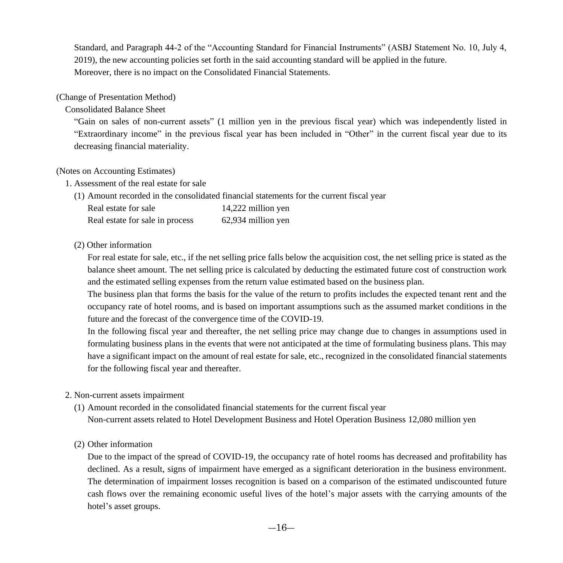Standard, and Paragraph 44-2 of the "Accounting Standard for Financial Instruments" (ASBJ Statement No. 10, July 4, 2019), the new accounting policies set forth in the said accounting standard will be applied in the future. Moreover, there is no impact on the Consolidated Financial Statements.

#### (Change of Presentation Method)

#### Consolidated Balance Sheet

"Gain on sales of non-current assets" (1 million yen in the previous fiscal year) which was independently listed in "Extraordinary income" in the previous fiscal year has been included in "Other" in the current fiscal year due to its decreasing financial materiality.

#### (Notes on Accounting Estimates)

- 1. Assessment of the real estate for sale
	- (1) Amount recorded in the consolidated financial statements for the current fiscal year

| Real estate for sale            | 14,222 million yen |
|---------------------------------|--------------------|
| Real estate for sale in process | 62,934 million yen |

#### (2) Other information

For real estate for sale, etc., if the net selling price falls below the acquisition cost, the net selling price is stated as the balance sheet amount. The net selling price is calculated by deducting the estimated future cost of construction work and the estimated selling expenses from the return value estimated based on the business plan.

The business plan that forms the basis for the value of the return to profits includes the expected tenant rent and the occupancy rate of hotel rooms, and is based on important assumptions such as the assumed market conditions in the future and the forecast of the convergence time of the COVID-19.

In the following fiscal year and thereafter, the net selling price may change due to changes in assumptions used in formulating business plans in the events that were not anticipated at the time of formulating business plans. This may have a significant impact on the amount of real estate for sale, etc., recognized in the consolidated financial statements for the following fiscal year and thereafter.

#### 2. Non-current assets impairment

(1) Amount recorded in the consolidated financial statements for the current fiscal year

Non-current assets related to Hotel Development Business and Hotel Operation Business 12,080 million yen

#### (2) Other information

Due to the impact of the spread of COVID-19, the occupancy rate of hotel rooms has decreased and profitability has declined. As a result, signs of impairment have emerged as a significant deterioration in the business environment. The determination of impairment losses recognition is based on a comparison of the estimated undiscounted future cash flows over the remaining economic useful lives of the hotel's major assets with the carrying amounts of the hotel's asset groups.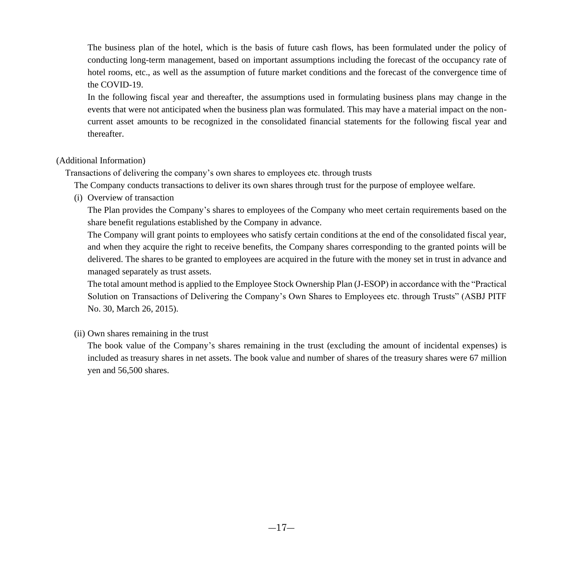The business plan of the hotel, which is the basis of future cash flows, has been formulated under the policy of conducting long-term management, based on important assumptions including the forecast of the occupancy rate of hotel rooms, etc., as well as the assumption of future market conditions and the forecast of the convergence time of the COVID-19.

In the following fiscal year and thereafter, the assumptions used in formulating business plans may change in the events that were not anticipated when the business plan was formulated. This may have a material impact on the noncurrent asset amounts to be recognized in the consolidated financial statements for the following fiscal year and thereafter.

#### (Additional Information)

Transactions of delivering the company's own shares to employees etc. through trusts

The Company conducts transactions to deliver its own shares through trust for the purpose of employee welfare.

(i) Overview of transaction

The Plan provides the Company's shares to employees of the Company who meet certain requirements based on the share benefit regulations established by the Company in advance.

The Company will grant points to employees who satisfy certain conditions at the end of the consolidated fiscal year, and when they acquire the right to receive benefits, the Company shares corresponding to the granted points will be delivered. The shares to be granted to employees are acquired in the future with the money set in trust in advance and managed separately as trust assets.

The total amount method is applied to the Employee Stock Ownership Plan (J-ESOP) in accordance with the "Practical Solution on Transactions of Delivering the Company's Own Shares to Employees etc. through Trusts" (ASBJ PITF No. 30, March 26, 2015).

#### (ii) Own shares remaining in the trust

The book value of the Company's shares remaining in the trust (excluding the amount of incidental expenses) is included as treasury shares in net assets. The book value and number of shares of the treasury shares were 67 million yen and 56,500 shares.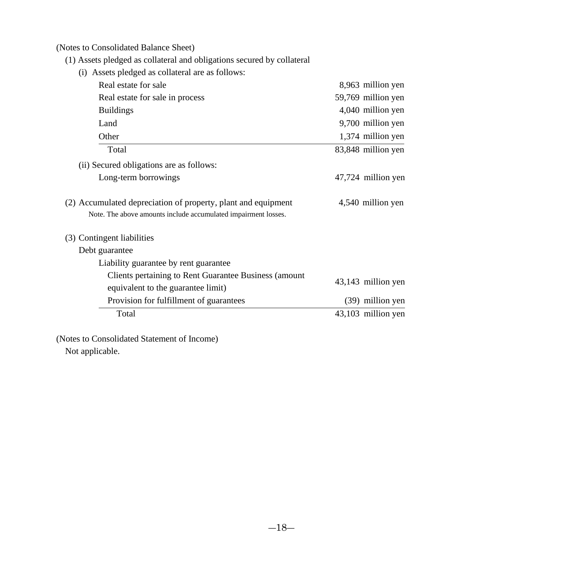(Notes to Consolidated Balance Sheet)

(1) Assets pledged as collateral and obligations secured by collateral

| (i) Assets pledged as collateral are as follows:                                                                                |                    |
|---------------------------------------------------------------------------------------------------------------------------------|--------------------|
| Real estate for sale                                                                                                            | 8,963 million yen  |
| Real estate for sale in process                                                                                                 | 59,769 million yen |
| <b>Buildings</b>                                                                                                                | 4,040 million yen  |
| Land                                                                                                                            | 9,700 million yen  |
| Other                                                                                                                           | 1,374 million yen  |
| Total                                                                                                                           | 83,848 million yen |
| (ii) Secured obligations are as follows:                                                                                        |                    |
| Long-term borrowings                                                                                                            | 47,724 million yen |
| (2) Accumulated depreciation of property, plant and equipment<br>Note. The above amounts include accumulated impairment losses. | 4,540 million yen  |
| (3) Contingent liabilities                                                                                                      |                    |
| Debt guarantee                                                                                                                  |                    |
| Liability guarantee by rent guarantee                                                                                           |                    |
| Clients pertaining to Rent Guarantee Business (amount)<br>equivalent to the guarantee limit)                                    | 43,143 million yen |
| Provision for fulfillment of guarantees                                                                                         | (39) million yen   |
| Total                                                                                                                           | 43,103 million yen |
|                                                                                                                                 |                    |

(Notes to Consolidated Statement of Income)

Not applicable.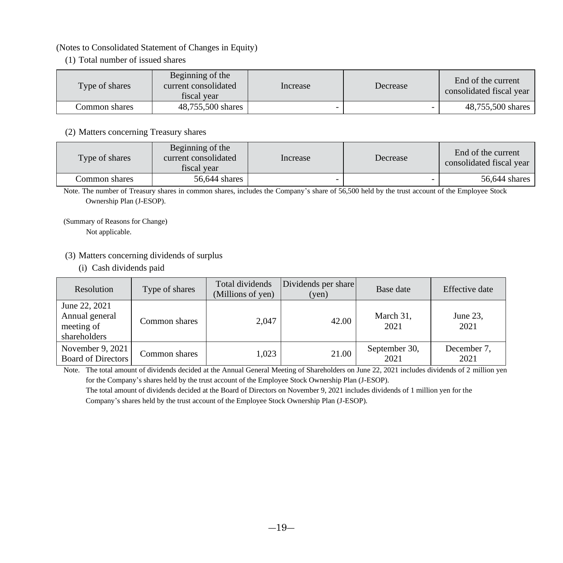#### (Notes to Consolidated Statement of Changes in Equity)

(1) Total number of issued shares

| Type of shares | Beginning of the<br>current consolidated<br>fiscal vear | Increase | Decrease | End of the current<br>consolidated fiscal year |
|----------------|---------------------------------------------------------|----------|----------|------------------------------------------------|
| Common shares  | 48.755.500 shares                                       |          |          | 48,755,500 shares                              |

#### (2) Matters concerning Treasury shares

| Type of shares | Beginning of the<br>current consolidated<br>fiscal vear | Increase | Decrease | End of the current<br>consolidated fiscal year |
|----------------|---------------------------------------------------------|----------|----------|------------------------------------------------|
| Common shares  | 56,644 shares                                           |          |          | 56,644 shares                                  |

Note. The number of Treasury shares in common shares, includes the Company's share of 56,500 held by the trust account of the Employee Stock Ownership Plan (J-ESOP).

(Summary of Reasons for Change)

Not applicable.

#### (3) Matters concerning dividends of surplus

(i) Cash dividends paid

| Resolution                                                    | Type of shares | Total dividends<br>(Millions of yen) | Dividends per share<br>(yen) | Base date             | Effective date      |
|---------------------------------------------------------------|----------------|--------------------------------------|------------------------------|-----------------------|---------------------|
| June 22, 2021<br>Annual general<br>meeting of<br>shareholders | Common shares  | 2.047                                | 42.00                        | March 31,<br>2021     | June 23.<br>2021    |
| November 9, 2021<br><b>Board of Directors</b>                 | Common shares  | 1,023                                | 21.00                        | September 30,<br>2021 | December 7,<br>2021 |

Note. The total amount of dividends decided at the Annual General Meeting of Shareholders on June 22, 2021 includes dividends of 2 million yen for the Company's shares held by the trust account of the Employee Stock Ownership Plan (J-ESOP).

 The total amount of dividends decided at the Board of Directors on November 9, 2021 includes dividends of 1 million yen for the Company's shares held by the trust account of the Employee Stock Ownership Plan (J-ESOP).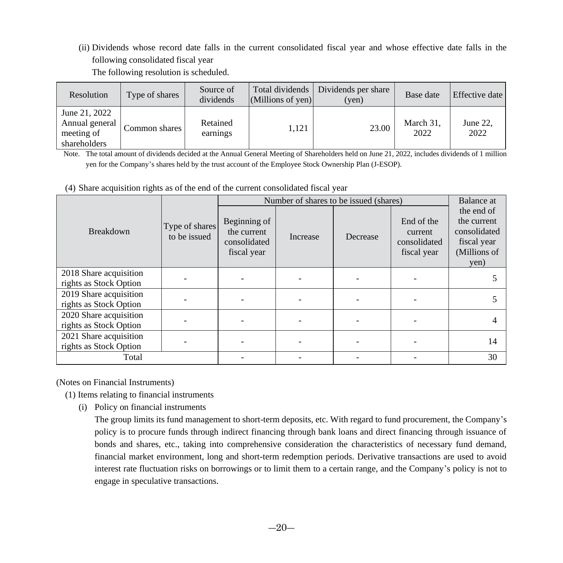(ii) Dividends whose record date falls in the current consolidated fiscal year and whose effective date falls in the following consolidated fiscal year The following resolution is scheduled.

| Resolution                                                    | Type of shares | Source of<br>dividends | $(Millions of ven)$ | Total dividends   Dividends per share<br>$(\text{ven})$ | Base date         | Effective date   |
|---------------------------------------------------------------|----------------|------------------------|---------------------|---------------------------------------------------------|-------------------|------------------|
| June 21, 2022<br>Annual general<br>meeting of<br>shareholders | Common shares  | Retained<br>earnings   | 1.121               | 23.00                                                   | March 31,<br>2022 | June 22.<br>2022 |

Note. The total amount of dividends decided at the Annual General Meeting of Shareholders held on June 21, 2022, includes dividends of 1 million yen for the Company's shares held by the trust account of the Employee Stock Ownership Plan (J-ESOP).

(4) Share acquisition rights as of the end of the current consolidated fiscal year

|                                                  |                                |                                                            |          | Number of shares to be issued (shares) |                                                      | Balance at                                                                       |
|--------------------------------------------------|--------------------------------|------------------------------------------------------------|----------|----------------------------------------|------------------------------------------------------|----------------------------------------------------------------------------------|
| Breakdown                                        | Type of shares<br>to be issued | Beginning of<br>the current<br>consolidated<br>fiscal year | Increase | Decrease                               | End of the<br>current<br>consolidated<br>fiscal year | the end of<br>the current<br>consolidated<br>fiscal year<br>(Millions of<br>yen) |
| 2018 Share acquisition<br>rights as Stock Option |                                |                                                            |          |                                        |                                                      |                                                                                  |
| 2019 Share acquisition<br>rights as Stock Option |                                |                                                            |          |                                        |                                                      |                                                                                  |
| 2020 Share acquisition<br>rights as Stock Option |                                |                                                            |          |                                        |                                                      |                                                                                  |
| 2021 Share acquisition<br>rights as Stock Option |                                |                                                            |          |                                        |                                                      | 14                                                                               |
| Total                                            |                                |                                                            |          |                                        |                                                      | 30                                                                               |

(Notes on Financial Instruments)

(1) Items relating to financial instruments

(i) Policy on financial instruments

The group limits its fund management to short-term deposits, etc. With regard to fund procurement, the Company's policy is to procure funds through indirect financing through bank loans and direct financing through issuance of bonds and shares, etc., taking into comprehensive consideration the characteristics of necessary fund demand, financial market environment, long and short-term redemption periods. Derivative transactions are used to avoid interest rate fluctuation risks on borrowings or to limit them to a certain range, and the Company's policy is not to engage in speculative transactions.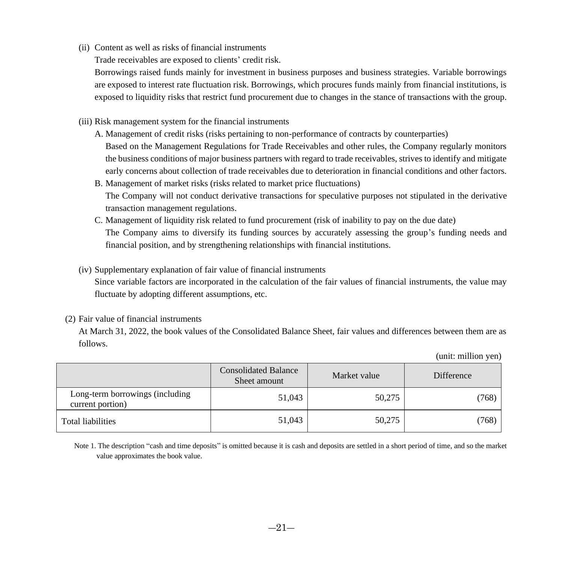(ii) Content as well as risks of financial instruments

Trade receivables are exposed to clients' credit risk.

Borrowings raised funds mainly for investment in business purposes and business strategies. Variable borrowings are exposed to interest rate fluctuation risk. Borrowings, which procures funds mainly from financial institutions, is exposed to liquidity risks that restrict fund procurement due to changes in the stance of transactions with the group.

#### (iii) Risk management system for the financial instruments

- A. Management of credit risks (risks pertaining to non-performance of contracts by counterparties) Based on the Management Regulations for Trade Receivables and other rules, the Company regularly monitors the business conditions of major business partners with regard to trade receivables, strives to identify and mitigate early concerns about collection of trade receivables due to deterioration in financial conditions and other factors.
- B. Management of market risks (risks related to market price fluctuations) The Company will not conduct derivative transactions for speculative purposes not stipulated in the derivative transaction management regulations.
- C. Management of liquidity risk related to fund procurement (risk of inability to pay on the due date) The Company aims to diversify its funding sources by accurately assessing the group's funding needs and financial position, and by strengthening relationships with financial institutions.
- (iv) Supplementary explanation of fair value of financial instruments

Since variable factors are incorporated in the calculation of the fair values of financial instruments, the value may fluctuate by adopting different assumptions, etc.

#### (2) Fair value of financial instruments

At March 31, 2022, the book values of the Consolidated Balance Sheet, fair values and differences between them are as follows.

|                                                     | <b>Consolidated Balance</b><br>Sheet amount | Market value | Difference |
|-----------------------------------------------------|---------------------------------------------|--------------|------------|
| Long-term borrowings (including<br>current portion) | 51,043                                      | 50,275       | (768)      |
| Total liabilities                                   | 51,043                                      | 50,275       | (768)      |

(unit: million yen)

Note 1. The description "cash and time deposits" is omitted because it is cash and deposits are settled in a short period of time, and so the market value approximates the book value.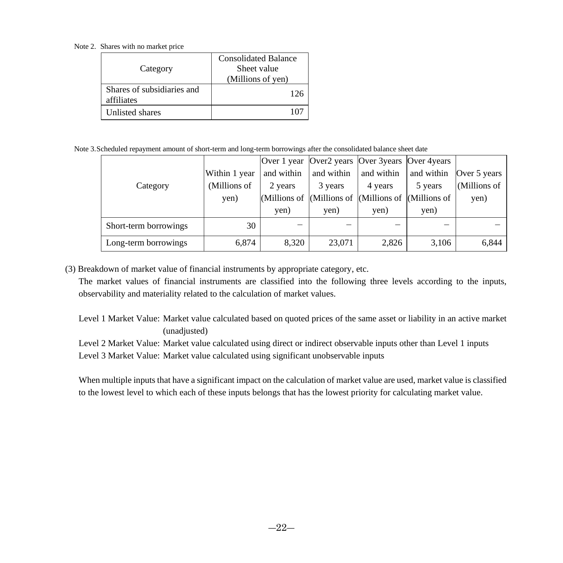Note 2. Shares with no market price

| Category                                 | <b>Consolidated Balance</b><br>Sheet value<br>(Millions of yen) |
|------------------------------------------|-----------------------------------------------------------------|
| Shares of subsidiaries and<br>affiliates | 126                                                             |
| Unlisted shares                          |                                                                 |

Note 3.Scheduled repayment amount of short-term and long-term borrowings after the consolidated balance sheet date

|                       |               |            |            | Over 1 year Over2 years Over 3 years Over 4 years                           |            |              |
|-----------------------|---------------|------------|------------|-----------------------------------------------------------------------------|------------|--------------|
|                       | Within 1 year | and within | and within | and within                                                                  | and within | Over 5 years |
| Category              | (Millions of  | 2 years    | 3 years    | 4 years                                                                     | 5 years    | (Millions of |
|                       | yen)          |            |            | (Millions of $\vert$ (Millions of $\vert$ (Millions of $\vert$ (Millions of |            | yen)         |
|                       |               | yen)       | yen)       | yen)                                                                        | yen)       |              |
| Short-term borrowings | 30            | –          |            |                                                                             |            |              |
| Long-term borrowings  | 6.874         | 8,320      | 23,071     | 2,826                                                                       | 3,106      | 6,844        |

(3) Breakdown of market value of financial instruments by appropriate category, etc.

The market values of financial instruments are classified into the following three levels according to the inputs, observability and materiality related to the calculation of market values.

Level 1 Market Value: Market value calculated based on quoted prices of the same asset or liability in an active market (unadjusted)

Level 2 Market Value: Market value calculated using direct or indirect observable inputs other than Level 1 inputs Level 3 Market Value: Market value calculated using significant unobservable inputs

When multiple inputs that have a significant impact on the calculation of market value are used, market value is classified to the lowest level to which each of these inputs belongs that has the lowest priority for calculating market value.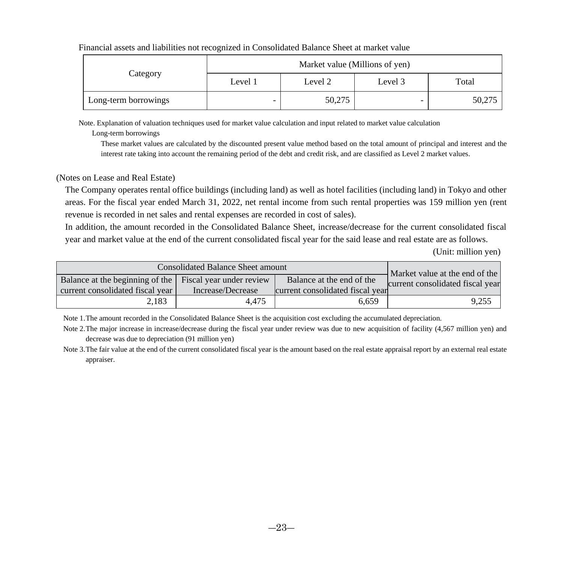|                      | Market value (Millions of yen) |         |         |        |  |
|----------------------|--------------------------------|---------|---------|--------|--|
| Category             | Level 1                        | Level 2 | Level 3 | Total  |  |
| Long-term borrowings | -                              | 50,275  | -       | 50,275 |  |

#### Financial assets and liabilities not recognized in Consolidated Balance Sheet at market value

Note. Explanation of valuation techniques used for market value calculation and input related to market value calculation

Long-term borrowings

These market values are calculated by the discounted present value method based on the total amount of principal and interest and the interest rate taking into account the remaining period of the debt and credit risk, and are classified as Level 2 market values.

#### (Notes on Lease and Real Estate)

The Company operates rental office buildings (including land) as well as hotel facilities (including land) in Tokyo and other areas. For the fiscal year ended March 31, 2022, net rental income from such rental properties was 159 million yen (rent revenue is recorded in net sales and rental expenses are recorded in cost of sales).

In addition, the amount recorded in the Consolidated Balance Sheet, increase/decrease for the current consolidated fiscal year and market value at the end of the current consolidated fiscal year for the said lease and real estate are as follows.

(Unit: million yen)

| Consolidated Balance Sheet amount                                                            | Market value at the end of the |                                                               |                                  |
|----------------------------------------------------------------------------------------------|--------------------------------|---------------------------------------------------------------|----------------------------------|
| Balance at the beginning of the Fiscal year under review<br>current consolidated fiscal year | Increase/Decrease              | Balance at the end of the<br>current consolidated fiscal year | current consolidated fiscal year |
| 2.183                                                                                        | 4.475                          | 6.659                                                         | 9.255                            |

Note 1.The amount recorded in the Consolidated Balance Sheet is the acquisition cost excluding the accumulated depreciation.

Note 2.The major increase in increase/decrease during the fiscal year under review was due to new acquisition of facility (4,567 million yen) and decrease was due to depreciation (91 million yen)

Note 3.The fair value at the end of the current consolidated fiscal year is the amount based on the real estate appraisal report by an external real estate appraiser.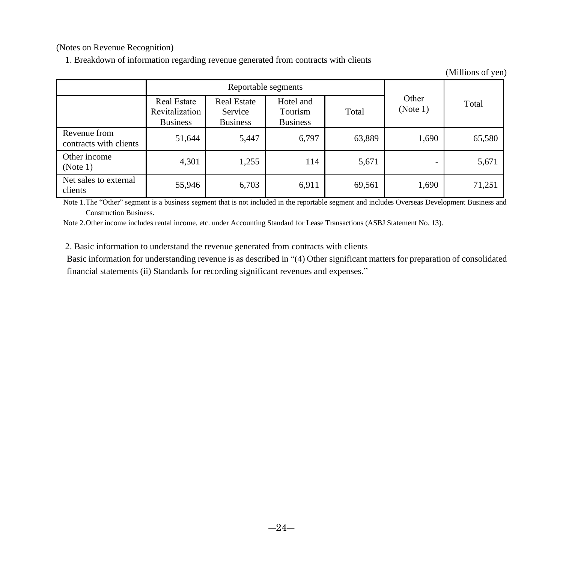(Notes on Revenue Recognition)

1. Breakdown of information regarding revenue generated from contracts with clients

(Millions of yen)

|                                        |                                                  | Reportable segments                              |                                         |        |                   |        |
|----------------------------------------|--------------------------------------------------|--------------------------------------------------|-----------------------------------------|--------|-------------------|--------|
|                                        | Real Estate<br>Revitalization<br><b>Business</b> | <b>Real Estate</b><br>Service<br><b>Business</b> | Hotel and<br>Tourism<br><b>Business</b> | Total  | Other<br>(Note 1) | Total  |
| Revenue from<br>contracts with clients | 51,644                                           | 5,447                                            | 6,797                                   | 63,889 | 1,690             | 65,580 |
| Other income<br>(Note 1)               | 4,301                                            | 1,255                                            | 114                                     | 5,671  |                   | 5,671  |
| Net sales to external<br>clients       | 55,946                                           | 6,703                                            | 6,911                                   | 69,561 | 1,690             | 71,251 |

Note 1.The "Other" segment is a business segment that is not included in the reportable segment and includes Overseas Development Business and Construction Business.

Note 2.Other income includes rental income, etc. under Accounting Standard for Lease Transactions (ASBJ Statement No. 13).

2. Basic information to understand the revenue generated from contracts with clients

Basic information for understanding revenue is as described in "(4) Other significant matters for preparation of consolidated financial statements (ii) Standards for recording significant revenues and expenses."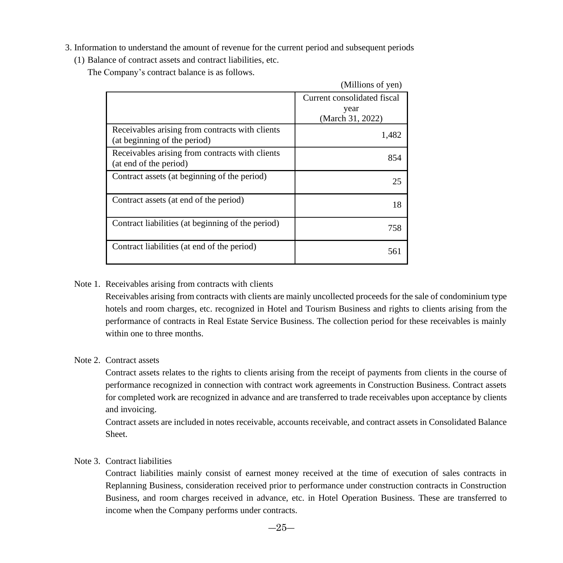3. Information to understand the amount of revenue for the current period and subsequent periods

(1) Balance of contract assets and contract liabilities, etc.

The Company's contract balance is as follows.

|                                                                                 | (Millions of yen)                                       |
|---------------------------------------------------------------------------------|---------------------------------------------------------|
|                                                                                 | Current consolidated fiscal<br>year<br>(March 31, 2022) |
| Receivables arising from contracts with clients<br>(at beginning of the period) | 1,482                                                   |
| Receivables arising from contracts with clients<br>(at end of the period)       | 854                                                     |
| Contract assets (at beginning of the period)                                    | 25                                                      |
| Contract assets (at end of the period)                                          | 18                                                      |
| Contract liabilities (at beginning of the period)                               | 758                                                     |
| Contract liabilities (at end of the period)                                     | 561                                                     |

#### Note 1. Receivables arising from contracts with clients

Receivables arising from contracts with clients are mainly uncollected proceeds for the sale of condominium type hotels and room charges, etc. recognized in Hotel and Tourism Business and rights to clients arising from the performance of contracts in Real Estate Service Business. The collection period for these receivables is mainly within one to three months.

#### Note 2. Contract assets

Contract assets relates to the rights to clients arising from the receipt of payments from clients in the course of performance recognized in connection with contract work agreements in Construction Business. Contract assets for completed work are recognized in advance and are transferred to trade receivables upon acceptance by clients and invoicing.

Contract assets are included in notes receivable, accounts receivable, and contract assets in Consolidated Balance Sheet.

#### Note 3. Contract liabilities

Contract liabilities mainly consist of earnest money received at the time of execution of sales contracts in Replanning Business, consideration received prior to performance under construction contracts in Construction Business, and room charges received in advance, etc. in Hotel Operation Business. These are transferred to income when the Company performs under contracts.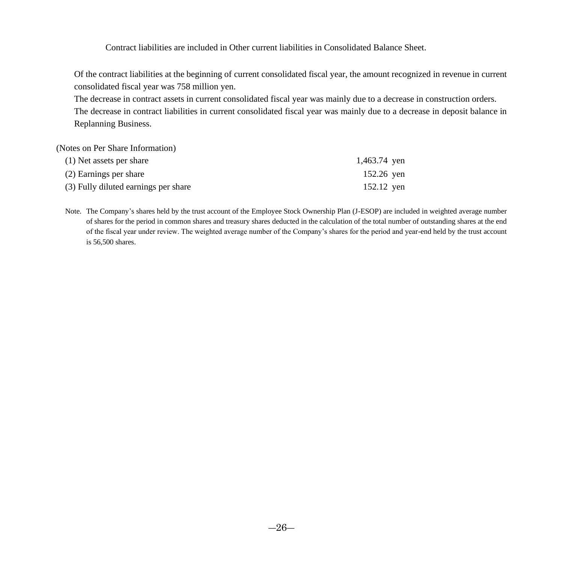Contract liabilities are included in Other current liabilities in Consolidated Balance Sheet.

Of the contract liabilities at the beginning of current consolidated fiscal year, the amount recognized in revenue in current consolidated fiscal year was 758 million yen.

The decrease in contract assets in current consolidated fiscal year was mainly due to a decrease in construction orders. The decrease in contract liabilities in current consolidated fiscal year was mainly due to a decrease in deposit balance in Replanning Business.

(Notes on Per Share Information)

| (1) Net assets per share             | 1,463.74 yen |
|--------------------------------------|--------------|
| (2) Earnings per share               | 152.26 ven   |
| (3) Fully diluted earnings per share | 152.12 ven   |

Note. The Company's shares held by the trust account of the Employee Stock Ownership Plan (J-ESOP) are included in weighted average number of shares for the period in common shares and treasury shares deducted in the calculation of the total number of outstanding shares at the end of the fiscal year under review. The weighted average number of the Company's shares for the period and year-end held by the trust account is 56,500 shares.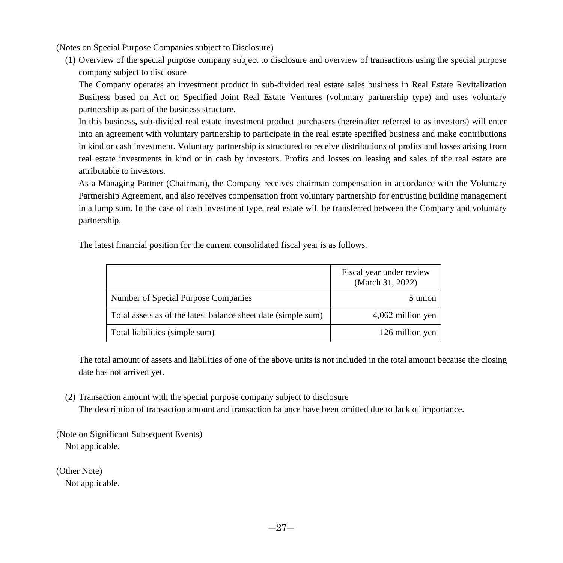(Notes on Special Purpose Companies subject to Disclosure)

(1) Overview of the special purpose company subject to disclosure and overview of transactions using the special purpose company subject to disclosure

The Company operates an investment product in sub-divided real estate sales business in Real Estate Revitalization Business based on Act on Specified Joint Real Estate Ventures (voluntary partnership type) and uses voluntary partnership as part of the business structure.

In this business, sub-divided real estate investment product purchasers (hereinafter referred to as investors) will enter into an agreement with voluntary partnership to participate in the real estate specified business and make contributions in kind or cash investment. Voluntary partnership is structured to receive distributions of profits and losses arising from real estate investments in kind or in cash by investors. Profits and losses on leasing and sales of the real estate are attributable to investors.

As a Managing Partner (Chairman), the Company receives chairman compensation in accordance with the Voluntary Partnership Agreement, and also receives compensation from voluntary partnership for entrusting building management in a lump sum. In the case of cash investment type, real estate will be transferred between the Company and voluntary partnership.

The latest financial position for the current consolidated fiscal year is as follows.

|                                                               | Fiscal year under review<br>(March 31, 2022) |
|---------------------------------------------------------------|----------------------------------------------|
| Number of Special Purpose Companies                           | 5 union                                      |
| Total assets as of the latest balance sheet date (simple sum) | 4,062 million yen                            |
| Total liabilities (simple sum)                                | 126 million yen                              |

The total amount of assets and liabilities of one of the above units is not included in the total amount because the closing date has not arrived yet.

(2) Transaction amount with the special purpose company subject to disclosure

The description of transaction amount and transaction balance have been omitted due to lack of importance.

(Note on Significant Subsequent Events) Not applicable.

(Other Note)

Not applicable.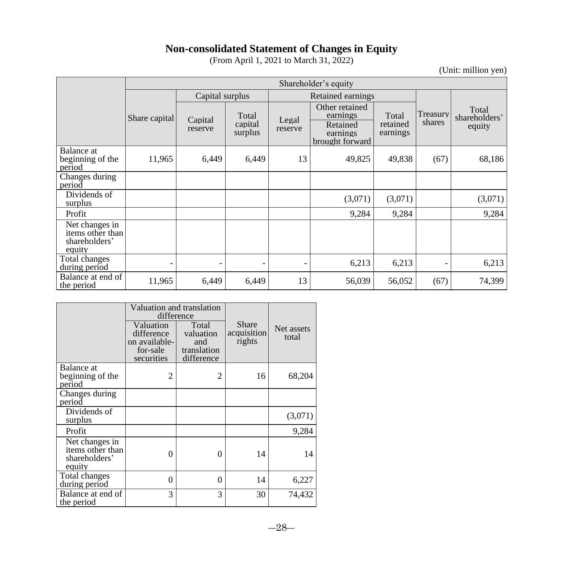# **Non-consolidated Statement of Changes in Equity**

(From April 1, 2021 to March 31, 2022)

(Unit: million yen)

<span id="page-27-0"></span>

|                                                               | Shareholder's equity |                    |                             |                   |                                                                       |                               |                    |                                  |
|---------------------------------------------------------------|----------------------|--------------------|-----------------------------|-------------------|-----------------------------------------------------------------------|-------------------------------|--------------------|----------------------------------|
|                                                               |                      | Capital surplus    |                             | Retained earnings |                                                                       |                               |                    |                                  |
|                                                               | Share capital        | Capital<br>reserve | Total<br>capital<br>surplus | Legal<br>reserve  | Other retained<br>earnings<br>Retained<br>earnings<br>brought forward | Total<br>retained<br>earnings | Treasury<br>shares | Total<br>shareholders'<br>equity |
| Balance at<br>beginning of the<br>period                      | 11,965               | 6,449              | 6,449                       | 13                | 49,825                                                                | 49,838                        | (67)               | 68,186                           |
| Changes during<br>period                                      |                      |                    |                             |                   |                                                                       |                               |                    |                                  |
| Dividends of<br>surplus                                       |                      |                    |                             |                   | (3,071)                                                               | (3,071)                       |                    | (3,071)                          |
| Profit                                                        |                      |                    |                             |                   | 9,284                                                                 | 9,284                         |                    | 9,284                            |
| Net changes in<br>items other than<br>shareholders'<br>equity |                      |                    |                             |                   |                                                                       |                               |                    |                                  |
| Total changes<br>during period                                |                      |                    |                             |                   | 6,213                                                                 | 6,213                         |                    | 6,213                            |
| Balance at end of<br>the period                               | 11,965               | 6,449              | 6,449                       | 13                | 56,039                                                                | 56,052                        | (67)               | 74,399                           |

|                                                               | difference                                                         | Valuation and translation                              |                                |                     |  |
|---------------------------------------------------------------|--------------------------------------------------------------------|--------------------------------------------------------|--------------------------------|---------------------|--|
|                                                               | Valuation<br>difference<br>on available-<br>for-sale<br>securities | Total<br>valuation<br>and<br>translation<br>difference | Share<br>acquisition<br>rights | Net assets<br>total |  |
| Balance at<br>beginning of the<br>period                      | 2                                                                  | 2                                                      | 16                             | 68,204              |  |
| Changes during<br>period                                      |                                                                    |                                                        |                                |                     |  |
| Dividends of<br>surplus                                       |                                                                    |                                                        |                                | (3,071)             |  |
| Profit                                                        |                                                                    |                                                        |                                | 9,284               |  |
| Net changes in<br>items other than<br>shareholders'<br>equity | 0                                                                  | $\Omega$                                               | 14                             | 14                  |  |
| Total changes<br>during period                                | 0                                                                  | $\Omega$                                               | 14                             | 6,227               |  |
| Balance at end of<br>the period                               | 3                                                                  | 3                                                      | 30                             | 74,432              |  |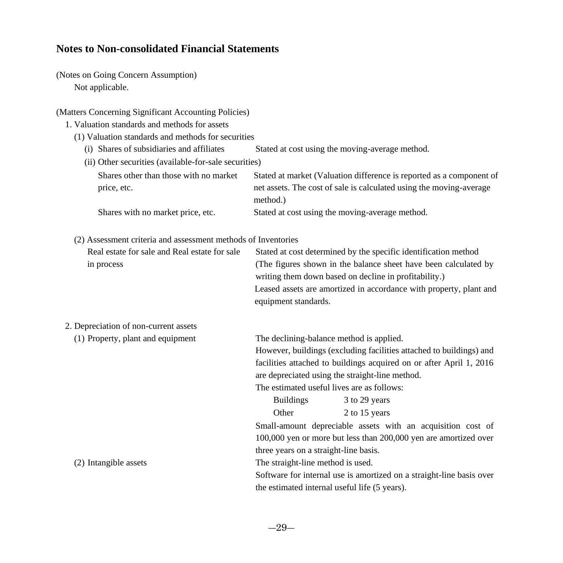## <span id="page-28-0"></span>**Notes to Non-consolidated Financial Statements**

(Notes on Going Concern Assumption) Not applicable.

#### (Matters Concerning Significant Accounting Policies)

- 1. Valuation standards and methods for assets
	- (1) Valuation standards and methods for securities
		- (i) Shares of subsidiaries and affiliates Stated at cost using the moving-average method.
		- (ii) Other securities (available-for-sale securities)

| Shares other than those with no market | Stated at market (Valuation difference is reported as a component of |
|----------------------------------------|----------------------------------------------------------------------|
| price, etc.                            | net assets. The cost of sale is calculated using the moving-average  |
|                                        | method.)                                                             |
| Shares with no market price, etc.      | Stated at cost using the moving-average method.                      |

### (2) Assessment criteria and assessment methods of Inventories

| Real estate for sale and Real estate for sale | Stated at cost determined by the specific identification method    |
|-----------------------------------------------|--------------------------------------------------------------------|
| in process                                    | (The figures shown in the balance sheet have been calculated by    |
|                                               | writing them down based on decline in profitability.)              |
|                                               | Leased assets are amortized in accordance with property, plant and |
|                                               | equipment standards.                                               |

# 2. Depreciation of non-current assets

| (1) Property, plant and equipment | The declining-balance method is applied.                             |  |  |  |
|-----------------------------------|----------------------------------------------------------------------|--|--|--|
|                                   | However, buildings (excluding facilities attached to buildings) and  |  |  |  |
|                                   | facilities attached to buildings acquired on or after April 1, 2016  |  |  |  |
|                                   | are depreciated using the straight-line method.                      |  |  |  |
|                                   | The estimated useful lives are as follows:                           |  |  |  |
|                                   | <b>Buildings</b><br>3 to 29 years                                    |  |  |  |
|                                   | 2 to 15 years<br>Other                                               |  |  |  |
|                                   | Small-amount depreciable assets with an acquisition cost of          |  |  |  |
|                                   | 100,000 yen or more but less than 200,000 yen are amortized over     |  |  |  |
|                                   | three years on a straight-line basis.                                |  |  |  |
| (2) Intangible assets             | The straight-line method is used.                                    |  |  |  |
|                                   | Software for internal use is amortized on a straight-line basis over |  |  |  |
|                                   | the estimated internal useful life (5 years).                        |  |  |  |
|                                   |                                                                      |  |  |  |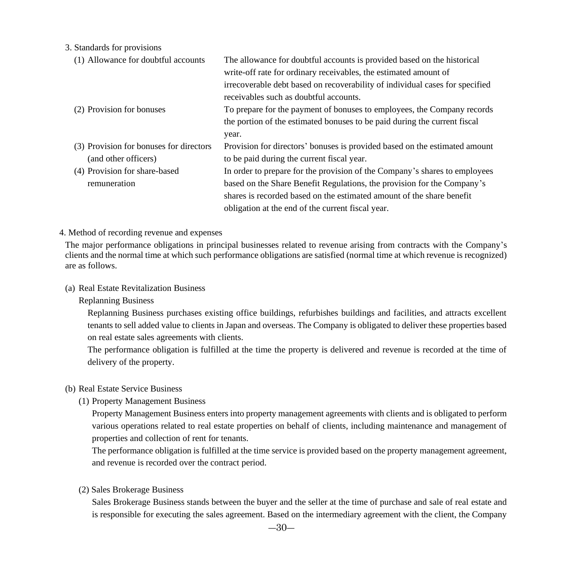3. Standards for provisions

| (1) Allowance for doubtful accounts     | The allowance for doubtful accounts is provided based on the historical      |
|-----------------------------------------|------------------------------------------------------------------------------|
|                                         | write-off rate for ordinary receivables, the estimated amount of             |
|                                         | irrecoverable debt based on recoverability of individual cases for specified |
|                                         | receivables such as doubtful accounts.                                       |
| (2) Provision for bonuses               | To prepare for the payment of bonuses to employees, the Company records      |
|                                         | the portion of the estimated bonuses to be paid during the current fiscal    |
|                                         | year.                                                                        |
| (3) Provision for bonuses for directors | Provision for directors' bonuses is provided based on the estimated amount   |
| (and other officers)                    | to be paid during the current fiscal year.                                   |
| (4) Provision for share-based           | In order to prepare for the provision of the Company's shares to employees   |
| remuneration                            | based on the Share Benefit Regulations, the provision for the Company's      |
|                                         | shares is recorded based on the estimated amount of the share benefit        |
|                                         | obligation at the end of the current fiscal year.                            |

#### 4. Method of recording revenue and expenses

The major performance obligations in principal businesses related to revenue arising from contracts with the Company's clients and the normal time at which such performance obligations are satisfied (normal time at which revenue is recognized) are as follows.

#### (a) Real Estate Revitalization Business

Replanning Business

Replanning Business purchases existing office buildings, refurbishes buildings and facilities, and attracts excellent tenants to sell added value to clients in Japan and overseas. The Company is obligated to deliver these properties based on real estate sales agreements with clients.

The performance obligation is fulfilled at the time the property is delivered and revenue is recorded at the time of delivery of the property.

#### (b) Real Estate Service Business

(1) Property Management Business

Property Management Business enters into property management agreements with clients and is obligated to perform various operations related to real estate properties on behalf of clients, including maintenance and management of properties and collection of rent for tenants.

The performance obligation is fulfilled at the time service is provided based on the property management agreement, and revenue is recorded over the contract period.

(2) Sales Brokerage Business

Sales Brokerage Business stands between the buyer and the seller at the time of purchase and sale of real estate and is responsible for executing the sales agreement. Based on the intermediary agreement with the client, the Company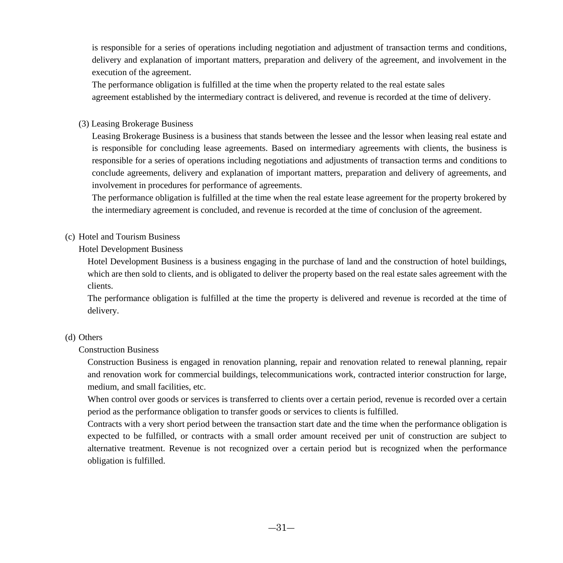is responsible for a series of operations including negotiation and adjustment of transaction terms and conditions, delivery and explanation of important matters, preparation and delivery of the agreement, and involvement in the execution of the agreement.

The performance obligation is fulfilled at the time when the property related to the real estate sales agreement established by the intermediary contract is delivered, and revenue is recorded at the time of delivery.

(3) Leasing Brokerage Business

Leasing Brokerage Business is a business that stands between the lessee and the lessor when leasing real estate and is responsible for concluding lease agreements. Based on intermediary agreements with clients, the business is responsible for a series of operations including negotiations and adjustments of transaction terms and conditions to conclude agreements, delivery and explanation of important matters, preparation and delivery of agreements, and involvement in procedures for performance of agreements.

The performance obligation is fulfilled at the time when the real estate lease agreement for the property brokered by the intermediary agreement is concluded, and revenue is recorded at the time of conclusion of the agreement.

#### (c) Hotel and Tourism Business

Hotel Development Business

Hotel Development Business is a business engaging in the purchase of land and the construction of hotel buildings, which are then sold to clients, and is obligated to deliver the property based on the real estate sales agreement with the clients.

The performance obligation is fulfilled at the time the property is delivered and revenue is recorded at the time of delivery.

#### (d) Others

Construction Business

Construction Business is engaged in renovation planning, repair and renovation related to renewal planning, repair and renovation work for commercial buildings, telecommunications work, contracted interior construction for large, medium, and small facilities, etc.

When control over goods or services is transferred to clients over a certain period, revenue is recorded over a certain period as the performance obligation to transfer goods or services to clients is fulfilled.

Contracts with a very short period between the transaction start date and the time when the performance obligation is expected to be fulfilled, or contracts with a small order amount received per unit of construction are subject to alternative treatment. Revenue is not recognized over a certain period but is recognized when the performance obligation is fulfilled.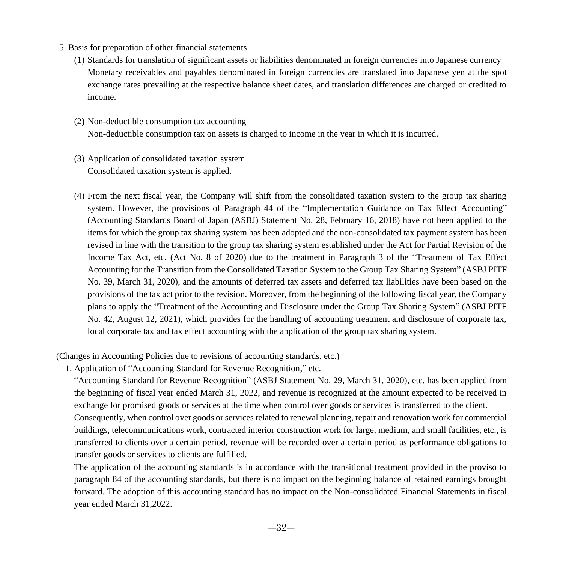- 5. Basis for preparation of other financial statements
	- (1) Standards for translation of significant assets or liabilities denominated in foreign currencies into Japanese currency Monetary receivables and payables denominated in foreign currencies are translated into Japanese yen at the spot exchange rates prevailing at the respective balance sheet dates, and translation differences are charged or credited to income.
	- (2) Non-deductible consumption tax accounting Non-deductible consumption tax on assets is charged to income in the year in which it is incurred.
	- (3) Application of consolidated taxation system Consolidated taxation system is applied.
	- (4) From the next fiscal year, the Company will shift from the consolidated taxation system to the group tax sharing system. However, the provisions of Paragraph 44 of the "Implementation Guidance on Tax Effect Accounting" (Accounting Standards Board of Japan (ASBJ) Statement No. 28, February 16, 2018) have not been applied to the items for which the group tax sharing system has been adopted and the non-consolidated tax payment system has been revised in line with the transition to the group tax sharing system established under the Act for Partial Revision of the Income Tax Act, etc. (Act No. 8 of 2020) due to the treatment in Paragraph 3 of the "Treatment of Tax Effect Accounting for the Transition from the Consolidated Taxation System to the Group Tax Sharing System" (ASBJ PITF No. 39, March 31, 2020), and the amounts of deferred tax assets and deferred tax liabilities have been based on the provisions of the tax act prior to the revision. Moreover, from the beginning of the following fiscal year, the Company plans to apply the "Treatment of the Accounting and Disclosure under the Group Tax Sharing System" (ASBJ PITF No. 42, August 12, 2021), which provides for the handling of accounting treatment and disclosure of corporate tax, local corporate tax and tax effect accounting with the application of the group tax sharing system.

(Changes in Accounting Policies due to revisions of accounting standards, etc.)

1. Application of "Accounting Standard for Revenue Recognition," etc.

"Accounting Standard for Revenue Recognition" (ASBJ Statement No. 29, March 31, 2020), etc. has been applied from the beginning of fiscal year ended March 31, 2022, and revenue is recognized at the amount expected to be received in exchange for promised goods or services at the time when control over goods or services is transferred to the client.

Consequently, when control over goods or services related to renewal planning, repair and renovation work for commercial buildings, telecommunications work, contracted interior construction work for large, medium, and small facilities, etc., is transferred to clients over a certain period, revenue will be recorded over a certain period as performance obligations to transfer goods or services to clients are fulfilled.

The application of the accounting standards is in accordance with the transitional treatment provided in the proviso to paragraph 84 of the accounting standards, but there is no impact on the beginning balance of retained earnings brought forward. The adoption of this accounting standard has no impact on the Non-consolidated Financial Statements in fiscal year ended March 31,2022.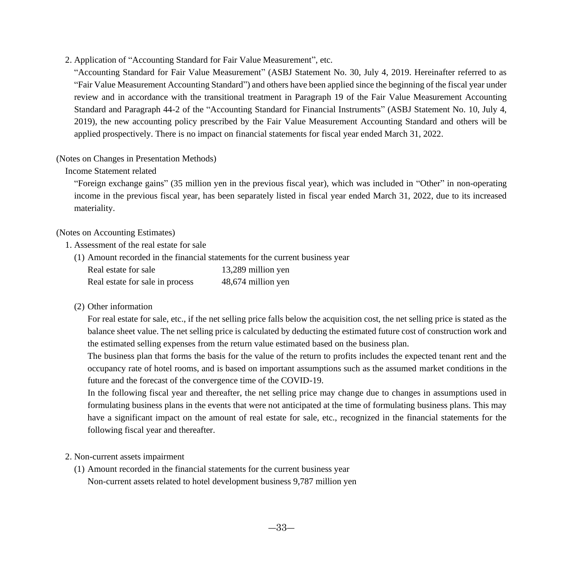2. Application of "Accounting Standard for Fair Value Measurement", etc.

"Accounting Standard for Fair Value Measurement" (ASBJ Statement No. 30, July 4, 2019. Hereinafter referred to as "Fair Value Measurement Accounting Standard") and others have been applied since the beginning of the fiscal year under review and in accordance with the transitional treatment in Paragraph 19 of the Fair Value Measurement Accounting Standard and Paragraph 44-2 of the "Accounting Standard for Financial Instruments" (ASBJ Statement No. 10, July 4, 2019), the new accounting policy prescribed by the Fair Value Measurement Accounting Standard and others will be applied prospectively. There is no impact on financial statements for fiscal year ended March 31, 2022.

#### (Notes on Changes in Presentation Methods)

Income Statement related

"Foreign exchange gains" (35 million yen in the previous fiscal year), which was included in "Other" in non-operating income in the previous fiscal year, has been separately listed in fiscal year ended March 31, 2022, due to its increased materiality.

#### (Notes on Accounting Estimates)

#### 1. Assessment of the real estate for sale

(1) Amount recorded in the financial statements for the current business year

| Real estate for sale            | 13,289 million yen |
|---------------------------------|--------------------|
| Real estate for sale in process | 48,674 million yen |

#### (2) Other information

For real estate for sale, etc., if the net selling price falls below the acquisition cost, the net selling price is stated as the balance sheet value. The net selling price is calculated by deducting the estimated future cost of construction work and the estimated selling expenses from the return value estimated based on the business plan.

The business plan that forms the basis for the value of the return to profits includes the expected tenant rent and the occupancy rate of hotel rooms, and is based on important assumptions such as the assumed market conditions in the future and the forecast of the convergence time of the COVID-19.

In the following fiscal year and thereafter, the net selling price may change due to changes in assumptions used in formulating business plans in the events that were not anticipated at the time of formulating business plans. This may have a significant impact on the amount of real estate for sale, etc., recognized in the financial statements for the following fiscal year and thereafter.

#### 2. Non-current assets impairment

(1) Amount recorded in the financial statements for the current business year Non-current assets related to hotel development business 9,787 million yen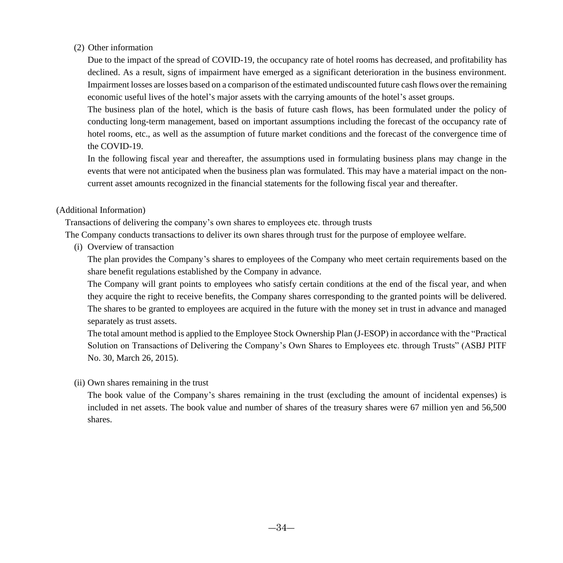#### (2) Other information

Due to the impact of the spread of COVID-19, the occupancy rate of hotel rooms has decreased, and profitability has declined. As a result, signs of impairment have emerged as a significant deterioration in the business environment. Impairment losses are losses based on a comparison of the estimated undiscounted future cash flows over the remaining economic useful lives of the hotel's major assets with the carrying amounts of the hotel's asset groups.

The business plan of the hotel, which is the basis of future cash flows, has been formulated under the policy of conducting long-term management, based on important assumptions including the forecast of the occupancy rate of hotel rooms, etc., as well as the assumption of future market conditions and the forecast of the convergence time of the COVID-19.

In the following fiscal year and thereafter, the assumptions used in formulating business plans may change in the events that were not anticipated when the business plan was formulated. This may have a material impact on the noncurrent asset amounts recognized in the financial statements for the following fiscal year and thereafter.

#### (Additional Information)

Transactions of delivering the company's own shares to employees etc. through trusts

The Company conducts transactions to deliver its own shares through trust for the purpose of employee welfare.

(i) Overview of transaction

The plan provides the Company's shares to employees of the Company who meet certain requirements based on the share benefit regulations established by the Company in advance.

The Company will grant points to employees who satisfy certain conditions at the end of the fiscal year, and when they acquire the right to receive benefits, the Company shares corresponding to the granted points will be delivered. The shares to be granted to employees are acquired in the future with the money set in trust in advance and managed separately as trust assets.

The total amount method is applied to the Employee Stock Ownership Plan (J-ESOP) in accordance with the "Practical Solution on Transactions of Delivering the Company's Own Shares to Employees etc. through Trusts" (ASBJ PITF No. 30, March 26, 2015).

#### (ii) Own shares remaining in the trust

The book value of the Company's shares remaining in the trust (excluding the amount of incidental expenses) is included in net assets. The book value and number of shares of the treasury shares were 67 million yen and 56,500 shares.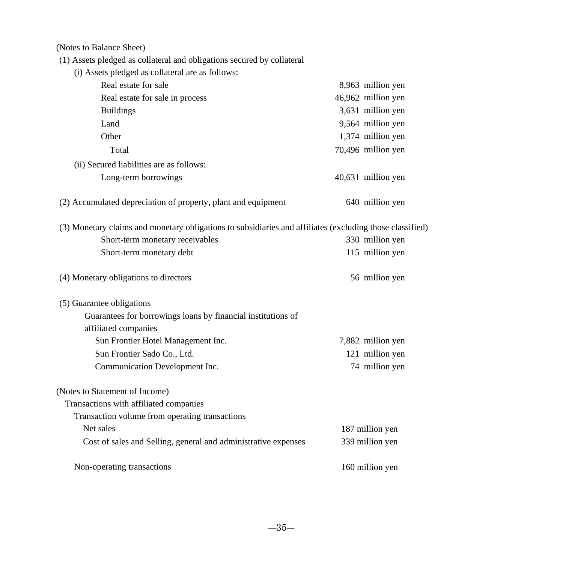(Notes to Balance Sheet)

- (1) Assets pledged as collateral and obligations secured by collateral
	- (i) Assets pledged as collateral are as follows:

| Real estate for sale                                                                                     | 8,963 million yen  |
|----------------------------------------------------------------------------------------------------------|--------------------|
| Real estate for sale in process                                                                          | 46,962 million yen |
| <b>Buildings</b>                                                                                         | 3,631 million yen  |
| Land                                                                                                     | 9,564 million yen  |
| Other                                                                                                    | 1,374 million yen  |
| Total                                                                                                    | 70,496 million yen |
| (ii) Secured liabilities are as follows:                                                                 |                    |
| Long-term borrowings                                                                                     | 40,631 million yen |
| (2) Accumulated depreciation of property, plant and equipment                                            | 640 million yen    |
| (3) Monetary claims and monetary obligations to subsidiaries and affiliates (excluding those classified) |                    |
| Short-term monetary receivables                                                                          | 330 million yen    |
| Short-term monetary debt                                                                                 | 115 million yen    |
| (4) Monetary obligations to directors                                                                    | 56 million yen     |
| (5) Guarantee obligations                                                                                |                    |
| Guarantees for borrowings loans by financial institutions of<br>affiliated companies                     |                    |
| Sun Frontier Hotel Management Inc.                                                                       | 7,882 million yen  |
| Sun Frontier Sado Co., Ltd.                                                                              | 121 million yen    |
| Communication Development Inc.                                                                           | 74 million yen     |
| (Notes to Statement of Income)                                                                           |                    |
| Transactions with affiliated companies                                                                   |                    |
| Transaction volume from operating transactions                                                           |                    |
| Net sales                                                                                                | 187 million yen    |
| Cost of sales and Selling, general and administrative expenses                                           | 339 million yen    |
| Non-operating transactions                                                                               | 160 million yen    |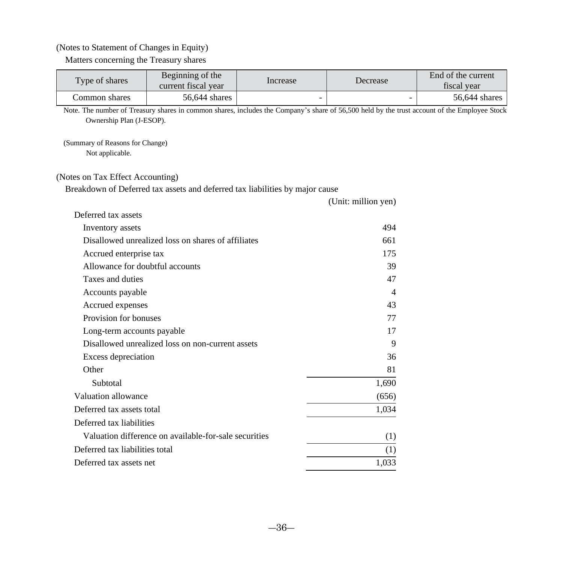#### (Notes to Statement of Changes in Equity)

Matters concerning the Treasury shares

| Type of shares | Beginning of the<br>current fiscal year | Increase | Decrease | End of the current<br>fiscal vear |
|----------------|-----------------------------------------|----------|----------|-----------------------------------|
| Common shares  | 56.644 shares                           |          |          | 56,644 shares                     |

Note. The number of Treasury shares in common shares, includes the Company's share of 56,500 held by the trust account of the Employee Stock Ownership Plan (J-ESOP).

(Unit: million yen)

(Summary of Reasons for Change) Not applicable.

#### (Notes on Tax Effect Accounting)

Breakdown of Deferred tax assets and deferred tax liabilities by major cause

| Deferred tax assets                                   |       |
|-------------------------------------------------------|-------|
| Inventory assets                                      | 494   |
| Disallowed unrealized loss on shares of affiliates    | 661   |
| Accrued enterprise tax                                | 175   |
| Allowance for doubtful accounts                       | 39    |
| Taxes and duties                                      | 47    |
| Accounts payable                                      | 4     |
| Accrued expenses                                      | 43    |
| Provision for bonuses                                 | 77    |
| Long-term accounts payable                            | 17    |
| Disallowed unrealized loss on non-current assets      | 9     |
| Excess depreciation                                   | 36    |
| Other                                                 | 81    |
| Subtotal                                              | 1,690 |
| Valuation allowance                                   | (656) |
| Deferred tax assets total                             | 1,034 |
| Deferred tax liabilities                              |       |
| Valuation difference on available-for-sale securities | (1)   |
| Deferred tax liabilities total                        | (1)   |
| Deferred tax assets net                               | 1,033 |
|                                                       |       |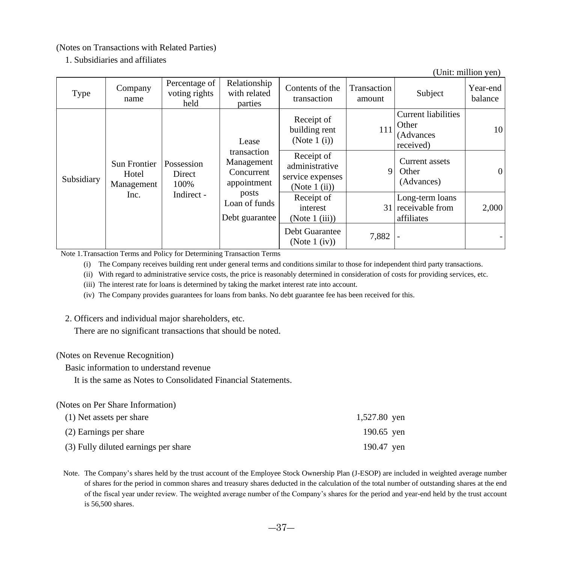(Notes on Transactions with Related Parties)

1. Subsidiaries and affiliates

(Unit: million yen)

| Type       | Company<br>name                     | Percentage of<br>voting rights<br>held | Relationship<br>with related<br>parties                | Contents of the<br>transaction                                      | Transaction<br>amount | Subject                                                       | Year-end<br>balance |
|------------|-------------------------------------|----------------------------------------|--------------------------------------------------------|---------------------------------------------------------------------|-----------------------|---------------------------------------------------------------|---------------------|
|            |                                     |                                        | Lease                                                  | Receipt of<br>building rent<br>(Note $1(i)$ )                       | 111                   | <b>Current liabilities</b><br>Other<br>(Advances<br>received) | 10 <sup>1</sup>     |
| Subsidiary | Sun Frontier<br>Hotel<br>Management | Possession<br>Direct<br>100%           | transaction<br>Management<br>Concurrent<br>appointment | Receipt of<br>administrative<br>service expenses<br>(Note $1$ (ii)) | 9                     | Current assets<br>Other<br>(Advances)                         | $\overline{0}$      |
|            | Inc.                                | Indirect -                             | posts<br>Loan of funds<br>Debt guarantee               | Receipt of<br>interest<br>(Note 1 (iii))                            |                       | Long-term loans<br>31 receivable from<br>affiliates           | 2,000               |
|            |                                     |                                        |                                                        | Debt Guarantee<br>(Note $1$ (iv))                                   | 7,882                 |                                                               |                     |

Note 1.Transaction Terms and Policy for Determining Transaction Terms

(i) The Company receives building rent under general terms and conditions similar to those for independent third party transactions.

(ii) With regard to administrative service costs, the price is reasonably determined in consideration of costs for providing services, etc.

(iii) The interest rate for loans is determined by taking the market interest rate into account.

(iv) The Company provides guarantees for loans from banks. No debt guarantee fee has been received for this.

#### 2. Officers and individual major shareholders, etc.

There are no significant transactions that should be noted.

#### (Notes on Revenue Recognition)

Basic information to understand revenue

It is the same as Notes to Consolidated Financial Statements.

(Notes on Per Share Information)

| (1) Net assets per share             | 1,527.80 yen |
|--------------------------------------|--------------|
| (2) Earnings per share               | 190.65 yen   |
| (3) Fully diluted earnings per share | 190.47 ven   |

Note. The Company's shares held by the trust account of the Employee Stock Ownership Plan (J-ESOP) are included in weighted average number of shares for the period in common shares and treasury shares deducted in the calculation of the total number of outstanding shares at the end of the fiscal year under review. The weighted average number of the Company's shares for the period and year-end held by the trust account is 56,500 shares.